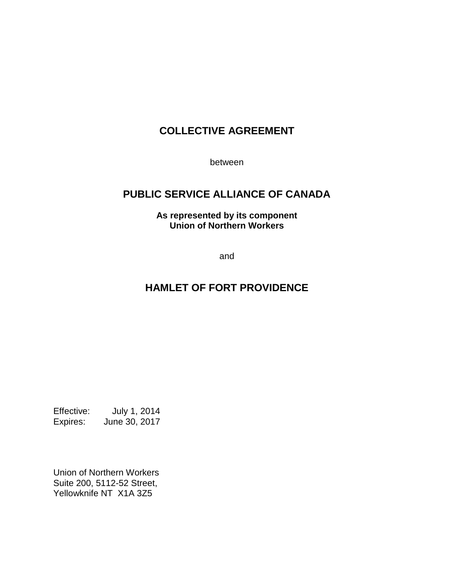## **COLLECTIVE AGREEMENT**

between

## **PUBLIC SERVICE ALLIANCE OF CANADA**

**As represented by its component Union of Northern Workers**

and

## **HAMLET OF FORT PROVIDENCE**

Effective: July 1, 2014 Expires: June 30, 2017

Union of Northern Workers Suite 200, 5112-52 Street, Yellowknife NT X1A 3Z5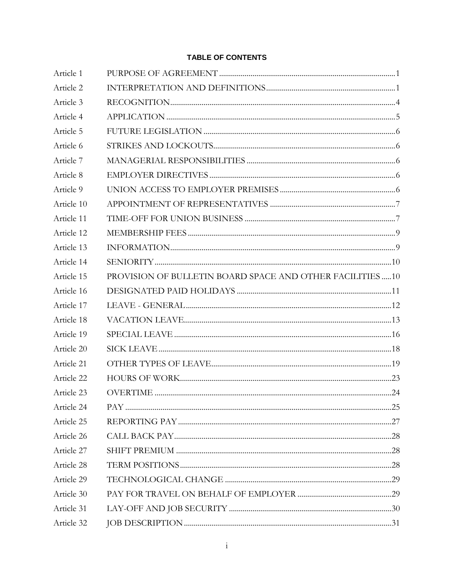#### **TABLE OF CONTENTS**

| Article 1  |                                                           |  |
|------------|-----------------------------------------------------------|--|
| Article 2  |                                                           |  |
| Article 3  |                                                           |  |
| Article 4  |                                                           |  |
| Article 5  |                                                           |  |
| Article 6  |                                                           |  |
| Article 7  |                                                           |  |
| Article 8  |                                                           |  |
| Article 9  |                                                           |  |
| Article 10 |                                                           |  |
| Article 11 |                                                           |  |
| Article 12 |                                                           |  |
| Article 13 |                                                           |  |
| Article 14 |                                                           |  |
| Article 15 | PROVISION OF BULLETIN BOARD SPACE AND OTHER FACILITIES 10 |  |
| Article 16 |                                                           |  |
| Article 17 |                                                           |  |
| Article 18 |                                                           |  |
| Article 19 |                                                           |  |
| Article 20 |                                                           |  |
| Article 21 |                                                           |  |
| Article 22 |                                                           |  |
| Article 23 |                                                           |  |
| Article 24 |                                                           |  |
| Article 25 |                                                           |  |
| Article 26 |                                                           |  |
| Article 27 |                                                           |  |
| Article 28 |                                                           |  |
| Article 29 |                                                           |  |
| Article 30 |                                                           |  |
| Article 31 |                                                           |  |
| Article 32 |                                                           |  |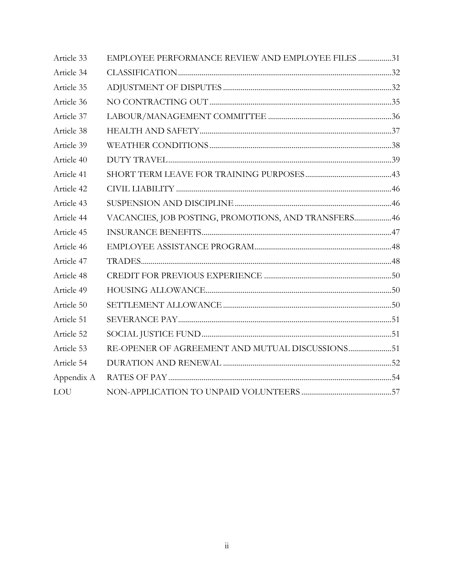| Article 33 | EMPLOYEE PERFORMANCE REVIEW AND EMPLOYEE FILES 31    |  |
|------------|------------------------------------------------------|--|
| Article 34 |                                                      |  |
| Article 35 |                                                      |  |
| Article 36 |                                                      |  |
| Article 37 |                                                      |  |
| Article 38 |                                                      |  |
| Article 39 |                                                      |  |
| Article 40 |                                                      |  |
| Article 41 |                                                      |  |
| Article 42 |                                                      |  |
| Article 43 |                                                      |  |
| Article 44 | VACANCIES, JOB POSTING, PROMOTIONS, AND TRANSFERS 46 |  |
| Article 45 |                                                      |  |
| Article 46 |                                                      |  |
| Article 47 |                                                      |  |
| Article 48 |                                                      |  |
| Article 49 |                                                      |  |
| Article 50 |                                                      |  |
| Article 51 |                                                      |  |
| Article 52 |                                                      |  |
| Article 53 | RE-OPENER OF AGREEMENT AND MUTUAL DISCUSSIONS51      |  |
| Article 54 |                                                      |  |
| Appendix A |                                                      |  |
| <b>LOU</b> |                                                      |  |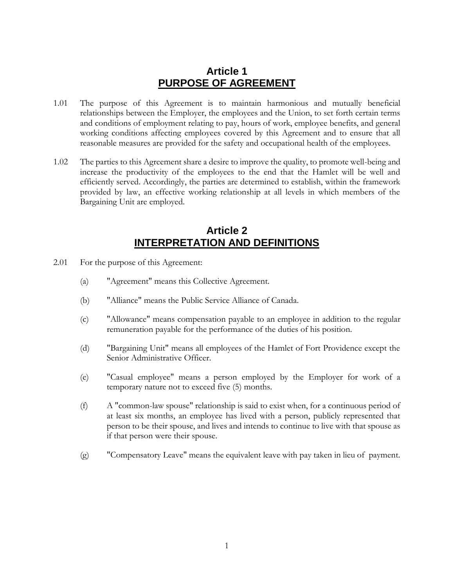### **Article 1 PURPOSE OF AGREEMENT**

- <span id="page-3-0"></span>1.01 The purpose of this Agreement is to maintain harmonious and mutually beneficial relationships between the Employer, the employees and the Union, to set forth certain terms and conditions of employment relating to pay, hours of work, employee benefits, and general working conditions affecting employees covered by this Agreement and to ensure that all reasonable measures are provided for the safety and occupational health of the employees.
- 1.02 The parties to this Agreement share a desire to improve the quality, to promote well-being and increase the productivity of the employees to the end that the Hamlet will be well and efficiently served. Accordingly, the parties are determined to establish, within the framework provided by law, an effective working relationship at all levels in which members of the Bargaining Unit are employed.

### **Article 2 INTERPRETATION AND DEFINITIONS**

- <span id="page-3-1"></span>2.01 For the purpose of this Agreement:
	- (a) "Agreement" means this Collective Agreement.
	- (b) "Alliance" means the Public Service Alliance of Canada.
	- (c) "Allowance" means compensation payable to an employee in addition to the regular remuneration payable for the performance of the duties of his position.
	- (d) "Bargaining Unit" means all employees of the Hamlet of Fort Providence except the Senior Administrative Officer.
	- (e) "Casual employee" means a person employed by the Employer for work of a temporary nature not to exceed five (5) months.
	- (f) A "common-law spouse" relationship is said to exist when, for a continuous period of at least six months, an employee has lived with a person, publicly represented that person to be their spouse, and lives and intends to continue to live with that spouse as if that person were their spouse.
	- (g) "Compensatory Leave" means the equivalent leave with pay taken in lieu of payment.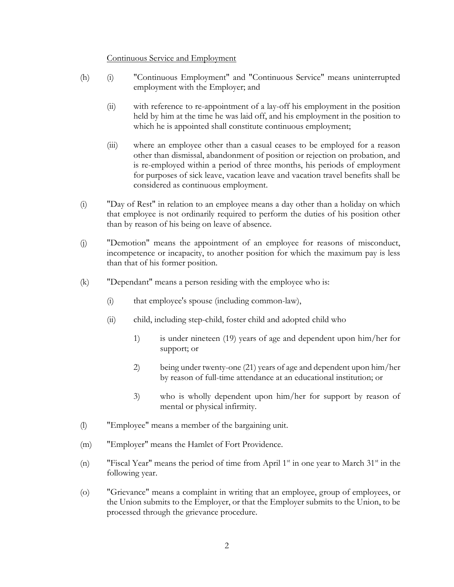#### Continuous Service and Employment

- (h) (i) "Continuous Employment" and "Continuous Service" means uninterrupted employment with the Employer; and
	- (ii) with reference to re-appointment of a lay-off his employment in the position held by him at the time he was laid off, and his employment in the position to which he is appointed shall constitute continuous employment;
	- (iii) where an employee other than a casual ceases to be employed for a reason other than dismissal, abandonment of position or rejection on probation, and is re-employed within a period of three months, his periods of employment for purposes of sick leave, vacation leave and vacation travel benefits shall be considered as continuous employment.
- (i) "Day of Rest" in relation to an employee means a day other than a holiday on which that employee is not ordinarily required to perform the duties of his position other than by reason of his being on leave of absence.
- (j) "Demotion" means the appointment of an employee for reasons of misconduct, incompetence or incapacity, to another position for which the maximum pay is less than that of his former position.
- (k) "Dependant" means a person residing with the employee who is:
	- (i) that employee's spouse (including common-law),
	- (ii) child, including step-child, foster child and adopted child who
		- 1) is under nineteen (19) years of age and dependent upon him/her for support; or
		- 2) being under twenty-one (21) years of age and dependent upon him/her by reason of full-time attendance at an educational institution; or
		- 3) who is wholly dependent upon him/her for support by reason of mental or physical infirmity.
- (l) "Employee" means a member of the bargaining unit.
- (m) "Employer" means the Hamlet of Fort Providence.
- (n) "Fiscal Year" means the period of time from April  $1<sup>st</sup>$  in one year to March  $31<sup>st</sup>$  in the following year.
- (o) "Grievance" means a complaint in writing that an employee, group of employees, or the Union submits to the Employer, or that the Employer submits to the Union, to be processed through the grievance procedure.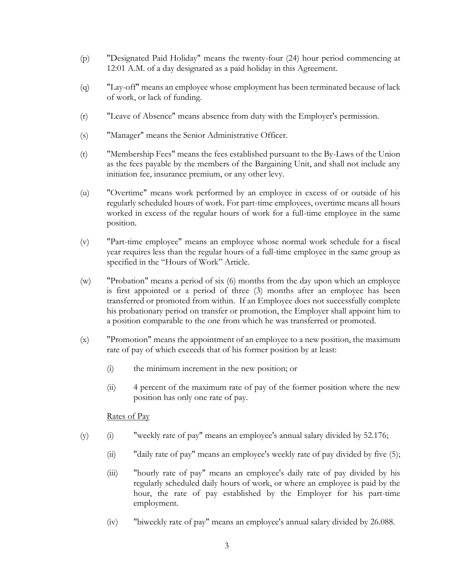- (p) "Designated Paid Holiday" means the twenty-four (24) hour period commencing at 12:01 A.M. of a day designated as a paid holiday in this Agreement.
- (q) "Lay-off" means an employee whose employment has been terminated because of lack of work, or lack of funding.
- (r) "Leave of Absence" means absence from duty with the Employer's permission.
- (s) "Manager" means the Senior Administrative Officer.
- (t) "Membership Fees" means the fees established pursuant to the By-Laws of the Union as the fees payable by the members of the Bargaining Unit, and shall not include any initiation fee, insurance premium, or any other levy.
- (u) "Overtime" means work performed by an employee in excess of or outside of his regularly scheduled hours of work. For part-time employees, overtime means all hours worked in excess of the regular hours of work for a full-time employee in the same position.
- (v) "Part-time employee" means an employee whose normal work schedule for a fiscal year requires less than the regular hours of a full-time employee in the same group as specified in the "Hours of Work" Article.
- (w) "Probation" means a period of six (6) months from the day upon which an employee is first appointed or a period of three (3) months after an employee has been transferred or promoted from within. If an Employee does not successfully complete his probationary period on transfer or promotion, the Employer shall appoint him to a position comparable to the one from which he was transferred or promoted.
- <span id="page-5-0"></span>(x) "Promotion" means the appointment of an employee to a new position, the maximum rate of pay of which exceeds that of his former position by at least:
	- (i) the minimum increment in the new position; or
	- (ii) 4 percent of the maximum rate of pay of the former position where the new position has only one rate of pay.

#### Rates of Pay

- (y) (i) "weekly rate of pay" means an employee's annual salary divided by 52.176;
	- (ii) "daily rate of pay" means an employee's weekly rate of pay divided by five (5);
	- (iii) "hourly rate of pay" means an employee's daily rate of pay divided by his regularly scheduled daily hours of work, or where an employee is paid by the hour, the rate of pay established by the Employer for his part-time employment.
	- (iv) "biweekly rate of pay" means an employee's annual salary divided by 26.088.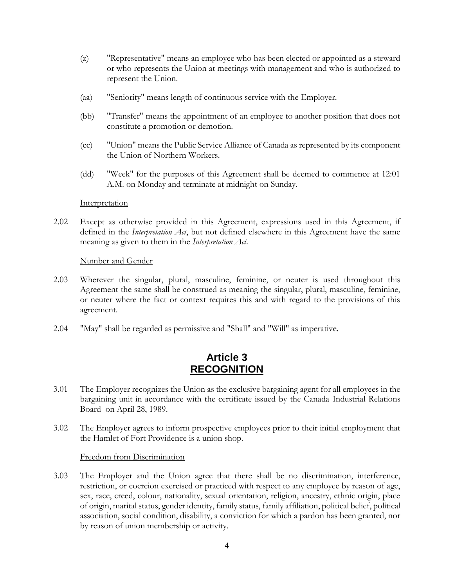- (z) "Representative" means an employee who has been elected or appointed as a steward or who represents the Union at meetings with management and who is authorized to represent the Union.
- (aa) "Seniority" means length of continuous service with the Employer.
- (bb) "Transfer" means the appointment of an employee to another position that does not constitute a promotion or demotion.
- (cc) "Union" means the Public Service Alliance of Canada as represented by its component the Union of Northern Workers.
- (dd) "Week" for the purposes of this Agreement shall be deemed to commence at 12:01 A.M. on Monday and terminate at midnight on Sunday.

#### **Interpretation**

2.02 Except as otherwise provided in this Agreement, expressions used in this Agreement, if defined in the *Interpretation Act*, but not defined elsewhere in this Agreement have the same meaning as given to them in the *Interpretation Act*.

#### Number and Gender

- 2.03 Wherever the singular, plural, masculine, feminine, or neuter is used throughout this Agreement the same shall be construed as meaning the singular, plural, masculine, feminine, or neuter where the fact or context requires this and with regard to the provisions of this agreement.
- 2.04 "May" shall be regarded as permissive and "Shall" and "Will" as imperative.

### **Article 3 RECOGNITION**

- <span id="page-6-0"></span>3.01 The Employer recognizes the Union as the exclusive bargaining agent for all employees in the bargaining unit in accordance with the certificate issued by the Canada Industrial Relations Board on April 28, 1989.
- 3.02 The Employer agrees to inform prospective employees prior to their initial employment that the Hamlet of Fort Providence is a union shop.

#### Freedom from Discrimination

<span id="page-6-1"></span>3.03 The Employer and the Union agree that there shall be no discrimination, interference, restriction, or coercion exercised or practiced with respect to any employee by reason of age, sex, race, creed, colour, nationality, sexual orientation, religion, ancestry, ethnic origin, place of origin, marital status, gender identity, family status, family affiliation, political belief, political association, social condition, disability, a conviction for which a pardon has been granted, nor by reason of union membership or activity.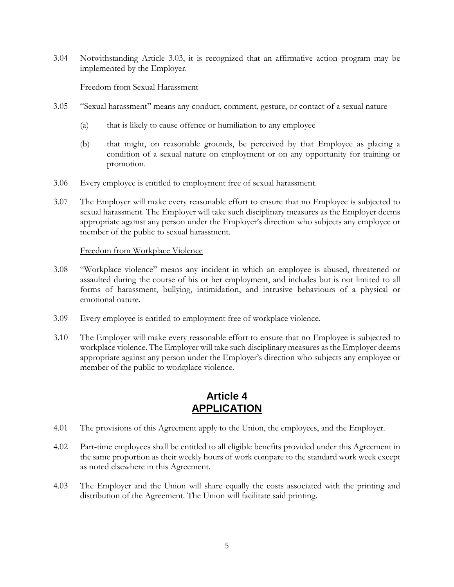3.04 Notwithstanding Article [3.03,](#page-6-1) it is recognized that an affirmative action program may be implemented by the Employer.

#### Freedom from Sexual Harassment

- 3.05 "Sexual harassment" means any conduct, comment, gesture, or contact of a sexual nature
	- (a) that is likely to cause offence or humiliation to any employee
	- (b) that might, on reasonable grounds, be perceived by that Employee as placing a condition of a sexual nature on employment or on any opportunity for training or promotion.
- 3.06 Every employee is entitled to employment free of sexual harassment.
- 3.07 The Employer will make every reasonable effort to ensure that no Employee is subjected to sexual harassment. The Employer will take such disciplinary measures as the Employer deems appropriate against any person under the Employer's direction who subjects any employee or member of the public to sexual harassment.

#### Freedom from Workplace Violence

- 3.08 "Workplace violence" means any incident in which an employee is abused, threatened or assaulted during the course of his or her employment, and includes but is not limited to all forms of harassment, bullying, intimidation, and intrusive behaviours of a physical or emotional nature.
- 3.09 Every employee is entitled to employment free of workplace violence.
- 3.10 The Employer will make every reasonable effort to ensure that no Employee is subjected to workplace violence. The Employer will take such disciplinary measures as the Employer deems appropriate against any person under the Employer's direction who subjects any employee or member of the public to workplace violence.

### **Article 4 APPLICATION**

- <span id="page-7-0"></span>4.01 The provisions of this Agreement apply to the Union, the employees, and the Employer.
- 4.02 Part-time employees shall be entitled to all eligible benefits provided under this Agreement in the same proportion as their weekly hours of work compare to the standard work week except as noted elsewhere in this Agreement.
- 4.03 The Employer and the Union will share equally the costs associated with the printing and distribution of the Agreement. The Union will facilitate said printing.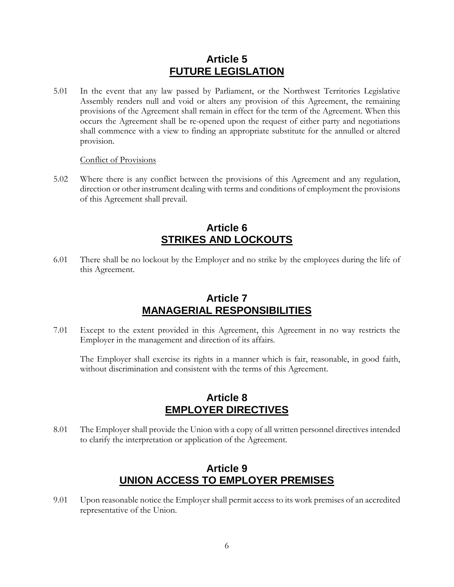### **Article 5 FUTURE LEGISLATION**

<span id="page-8-0"></span>5.01 In the event that any law passed by Parliament, or the Northwest Territories Legislative Assembly renders null and void or alters any provision of this Agreement, the remaining provisions of the Agreement shall remain in effect for the term of the Agreement. When this occurs the Agreement shall be re-opened upon the request of either party and negotiations shall commence with a view to finding an appropriate substitute for the annulled or altered provision.

#### Conflict of Provisions

5.02 Where there is any conflict between the provisions of this Agreement and any regulation, direction or other instrument dealing with terms and conditions of employment the provisions of this Agreement shall prevail.

### **Article 6 STRIKES AND LOCKOUTS**

<span id="page-8-1"></span>6.01 There shall be no lockout by the Employer and no strike by the employees during the life of this Agreement.

### **Article 7 MANAGERIAL RESPONSIBILITIES**

<span id="page-8-2"></span>7.01 Except to the extent provided in this Agreement, this Agreement in no way restricts the Employer in the management and direction of its affairs.

The Employer shall exercise its rights in a manner which is fair, reasonable, in good faith, without discrimination and consistent with the terms of this Agreement.

### **Article 8 EMPLOYER DIRECTIVES**

<span id="page-8-3"></span>8.01 The Employer shall provide the Union with a copy of all written personnel directives intended to clarify the interpretation or application of the Agreement.

### **Article 9 UNION ACCESS TO EMPLOYER PREMISES**

<span id="page-8-4"></span>9.01 Upon reasonable notice the Employer shall permit access to its work premises of an accredited representative of the Union.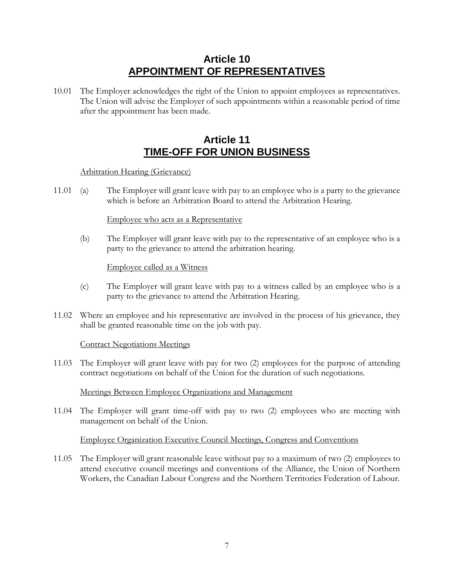## **Article 10 APPOINTMENT OF REPRESENTATIVES**

<span id="page-9-0"></span>10.01 The Employer acknowledges the right of the Union to appoint employees as representatives. The Union will advise the Employer of such appointments within a reasonable period of time after the appointment has been made.

## **Article 11 TIME-OFF FOR UNION BUSINESS**

### <span id="page-9-1"></span>Arbitration Hearing (Grievance)

11.01 (a) The Employer will grant leave with pay to an employee who is a party to the grievance which is before an Arbitration Board to attend the Arbitration Hearing.

### Employee who acts as a Representative

(b) The Employer will grant leave with pay to the representative of an employee who is a party to the grievance to attend the arbitration hearing.

### Employee called as a Witness

- (c) The Employer will grant leave with pay to a witness called by an employee who is a party to the grievance to attend the Arbitration Hearing.
- 11.02 Where an employee and his representative are involved in the process of his grievance, they shall be granted reasonable time on the job with pay.

### Contract Negotiations Meetings

11.03 The Employer will grant leave with pay for two (2) employees for the purpose of attending contract negotiations on behalf of the Union for the duration of such negotiations.

### Meetings Between Employee Organizations and Management

11.04 The Employer will grant time-off with pay to two (2) employees who are meeting with management on behalf of the Union.

### Employee Organization Executive Council Meetings, Congress and Conventions

11.05 The Employer will grant reasonable leave without pay to a maximum of two (2) employees to attend executive council meetings and conventions of the Alliance, the Union of Northern Workers, the Canadian Labour Congress and the Northern Territories Federation of Labour.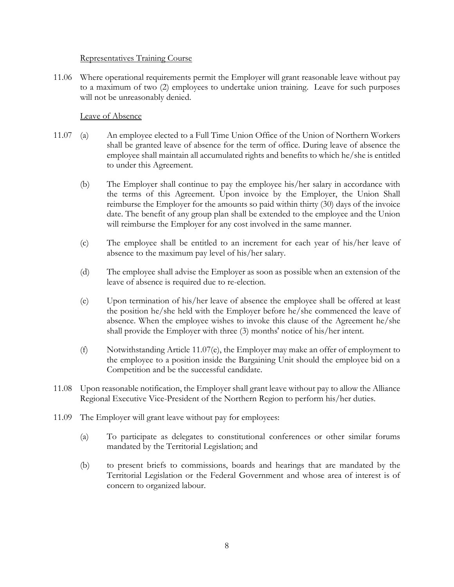#### Representatives Training Course

11.06 Where operational requirements permit the Employer will grant reasonable leave without pay to a maximum of two (2) employees to undertake union training. Leave for such purposes will not be unreasonably denied.

### Leave of Absence

- 11.07 (a) An employee elected to a Full Time Union Office of the Union of Northern Workers shall be granted leave of absence for the term of office. During leave of absence the employee shall maintain all accumulated rights and benefits to which he/she is entitled to under this Agreement.
	- (b) The Employer shall continue to pay the employee his/her salary in accordance with the terms of this Agreement. Upon invoice by the Employer, the Union Shall reimburse the Employer for the amounts so paid within thirty (30) days of the invoice date. The benefit of any group plan shall be extended to the employee and the Union will reimburse the Employer for any cost involved in the same manner.
	- (c) The employee shall be entitled to an increment for each year of his/her leave of absence to the maximum pay level of his/her salary.
	- (d) The employee shall advise the Employer as soon as possible when an extension of the leave of absence is required due to re-election.
	- (e) Upon termination of his/her leave of absence the employee shall be offered at least the position he/she held with the Employer before he/she commenced the leave of absence. When the employee wishes to invoke this clause of the Agreement he/she shall provide the Employer with three (3) months' notice of his/her intent.
	- (f) Notwithstanding Article [11.07\(e\),](#page-10-0) the Employer may make an offer of employment to the employee to a position inside the Bargaining Unit should the employee bid on a Competition and be the successful candidate.
- <span id="page-10-0"></span>11.08 Upon reasonable notification, the Employer shall grant leave without pay to allow the Alliance Regional Executive Vice-President of the Northern Region to perform his/her duties.
- 11.09 The Employer will grant leave without pay for employees:
	- (a) To participate as delegates to constitutional conferences or other similar forums mandated by the Territorial Legislation; and
	- (b) to present briefs to commissions, boards and hearings that are mandated by the Territorial Legislation or the Federal Government and whose area of interest is of concern to organized labour.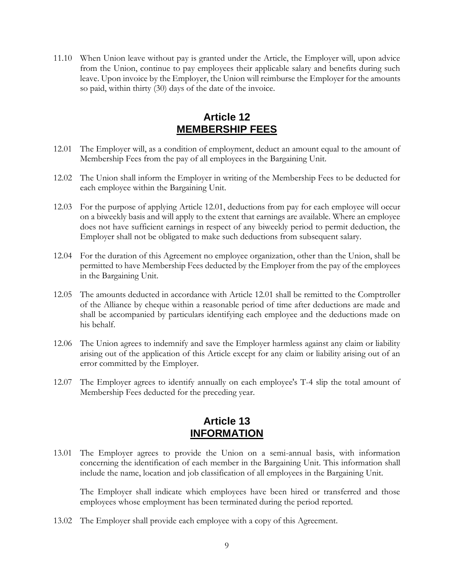11.10 When Union leave without pay is granted under the Article, the Employer will, upon advice from the Union, continue to pay employees their applicable salary and benefits during such leave. Upon invoice by the Employer, the Union will reimburse the Employer for the amounts so paid, within thirty (30) days of the date of the invoice.

## **Article 12 MEMBERSHIP FEES**

- <span id="page-11-2"></span><span id="page-11-0"></span>12.01 The Employer will, as a condition of employment, deduct an amount equal to the amount of Membership Fees from the pay of all employees in the Bargaining Unit.
- 12.02 The Union shall inform the Employer in writing of the Membership Fees to be deducted for each employee within the Bargaining Unit.
- 12.03 For the purpose of applying Article [12.01,](#page-11-2) deductions from pay for each employee will occur on a biweekly basis and will apply to the extent that earnings are available. Where an employee does not have sufficient earnings in respect of any biweekly period to permit deduction, the Employer shall not be obligated to make such deductions from subsequent salary.
- 12.04 For the duration of this Agreement no employee organization, other than the Union, shall be permitted to have Membership Fees deducted by the Employer from the pay of the employees in the Bargaining Unit.
- 12.05 The amounts deducted in accordance with Article [12.01](#page-11-2) shall be remitted to the Comptroller of the Alliance by cheque within a reasonable period of time after deductions are made and shall be accompanied by particulars identifying each employee and the deductions made on his behalf.
- 12.06 The Union agrees to indemnify and save the Employer harmless against any claim or liability arising out of the application of this Article except for any claim or liability arising out of an error committed by the Employer.
- 12.07 The Employer agrees to identify annually on each employee's T-4 slip the total amount of Membership Fees deducted for the preceding year.

### **Article 13 INFORMATION**

<span id="page-11-1"></span>13.01 The Employer agrees to provide the Union on a semi-annual basis, with information concerning the identification of each member in the Bargaining Unit. This information shall include the name, location and job classification of all employees in the Bargaining Unit.

The Employer shall indicate which employees have been hired or transferred and those employees whose employment has been terminated during the period reported.

13.02 The Employer shall provide each employee with a copy of this Agreement.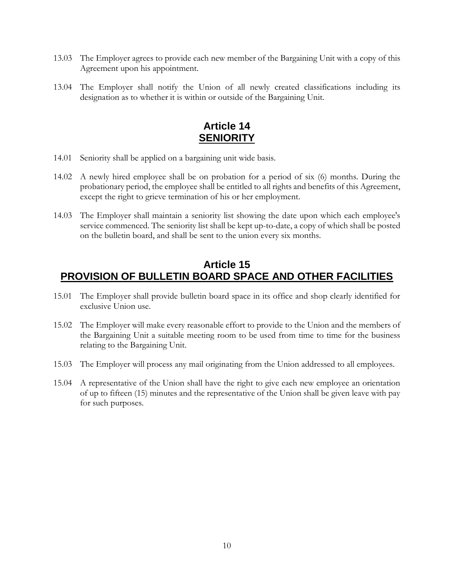- 13.03 The Employer agrees to provide each new member of the Bargaining Unit with a copy of this Agreement upon his appointment.
- 13.04 The Employer shall notify the Union of all newly created classifications including its designation as to whether it is within or outside of the Bargaining Unit.

## **Article 14 SENIORITY**

- <span id="page-12-0"></span>14.01 Seniority shall be applied on a bargaining unit wide basis.
- 14.02 A newly hired employee shall be on probation for a period of six (6) months. During the probationary period, the employee shall be entitled to all rights and benefits of this Agreement, except the right to grieve termination of his or her employment.
- 14.03 The Employer shall maintain a seniority list showing the date upon which each employee's service commenced. The seniority list shall be kept up-to-date, a copy of which shall be posted on the bulletin board, and shall be sent to the union every six months.

### <span id="page-12-1"></span>**Article 15 PROVISION OF BULLETIN BOARD SPACE AND OTHER FACILITIES**

- 15.01 The Employer shall provide bulletin board space in its office and shop clearly identified for exclusive Union use.
- 15.02 The Employer will make every reasonable effort to provide to the Union and the members of the Bargaining Unit a suitable meeting room to be used from time to time for the business relating to the Bargaining Unit.
- 15.03 The Employer will process any mail originating from the Union addressed to all employees.
- 15.04 A representative of the Union shall have the right to give each new employee an orientation of up to fifteen (15) minutes and the representative of the Union shall be given leave with pay for such purposes.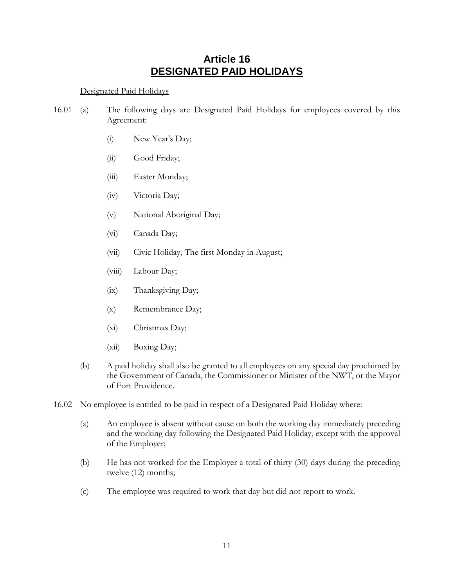### **Article 16 DESIGNATED PAID HOLIDAYS**

### <span id="page-13-0"></span>Designated Paid Holidays

- 16.01 (a) The following days are Designated Paid Holidays for employees covered by this Agreement:
	- (i) New Year's Day;
	- (ii) Good Friday;
	- (iii) Easter Monday;
	- (iv) Victoria Day;
	- (v) National Aboriginal Day;
	- (vi) Canada Day;
	- (vii) Civic Holiday, The first Monday in August;
	- (viii) Labour Day;
	- (ix) Thanksgiving Day;
	- (x) Remembrance Day;
	- (xi) Christmas Day;
	- (xii) Boxing Day;
	- (b) A paid holiday shall also be granted to all employees on any special day proclaimed by the Government of Canada, the Commissioner or Minister of the NWT, or the Mayor of Fort Providence.
- 16.02 No employee is entitled to be paid in respect of a Designated Paid Holiday where:
	- (a) An employee is absent without cause on both the working day immediately preceding and the working day following the Designated Paid Holiday, except with the approval of the Employer;
	- (b) He has not worked for the Employer a total of thirty (30) days during the preceding twelve (12) months;
	- (c) The employee was required to work that day but did not report to work.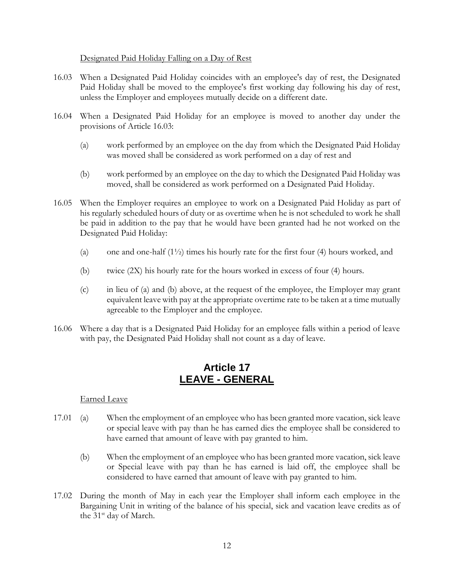#### Designated Paid Holiday Falling on a Day of Rest

- <span id="page-14-1"></span>16.03 When a Designated Paid Holiday coincides with an employee's day of rest, the Designated Paid Holiday shall be moved to the employee's first working day following his day of rest, unless the Employer and employees mutually decide on a different date.
- 16.04 When a Designated Paid Holiday for an employee is moved to another day under the provisions of Article [16.03:](#page-14-1)
	- (a) work performed by an employee on the day from which the Designated Paid Holiday was moved shall be considered as work performed on a day of rest and
	- (b) work performed by an employee on the day to which the Designated Paid Holiday was moved, shall be considered as work performed on a Designated Paid Holiday.
- <span id="page-14-2"></span>16.05 When the Employer requires an employee to work on a Designated Paid Holiday as part of his regularly scheduled hours of duty or as overtime when he is not scheduled to work he shall be paid in addition to the pay that he would have been granted had he not worked on the Designated Paid Holiday:
	- (a) one and one-half  $(1\frac{1}{2})$  times his hourly rate for the first four (4) hours worked, and
	- (b) twice (2X) his hourly rate for the hours worked in excess of four (4) hours.
	- (c) in lieu of [\(a\)](#page-14-2) and [\(b\) above,](#page-14-3) at the request of the employee, the Employer may grant equivalent leave with pay at the appropriate overtime rate to be taken at a time mutually agreeable to the Employer and the employee.
- <span id="page-14-3"></span>16.06 Where a day that is a Designated Paid Holiday for an employee falls within a period of leave with pay, the Designated Paid Holiday shall not count as a day of leave.

### **Article 17 LEAVE - GENERAL**

### <span id="page-14-0"></span>Earned Leave

- 17.01 (a) When the employment of an employee who has been granted more vacation, sick leave or special leave with pay than he has earned dies the employee shall be considered to have earned that amount of leave with pay granted to him.
	- (b) When the employment of an employee who has been granted more vacation, sick leave or Special leave with pay than he has earned is laid off, the employee shall be considered to have earned that amount of leave with pay granted to him.
- 17.02 During the month of May in each year the Employer shall inform each employee in the Bargaining Unit in writing of the balance of his special, sick and vacation leave credits as of the 31<sup>st</sup> day of March.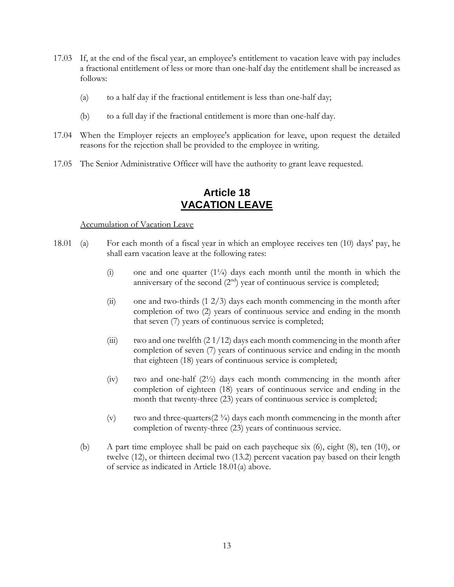- 17.03 If, at the end of the fiscal year, an employee's entitlement to vacation leave with pay includes a fractional entitlement of less or more than one-half day the entitlement shall be increased as follows:
	- (a) to a half day if the fractional entitlement is less than one-half day;
	- (b) to a full day if the fractional entitlement is more than one-half day.
- 17.04 When the Employer rejects an employee's application for leave, upon request the detailed reasons for the rejection shall be provided to the employee in writing.
- 17.05 The Senior Administrative Officer will have the authority to grant leave requested.

### **Article 18 VACATION LEAVE**

#### <span id="page-15-1"></span><span id="page-15-0"></span>Accumulation of Vacation Leave

- 18.01 (a) For each month of a fiscal year in which an employee receives ten (10) days' pay, he shall earn vacation leave at the following rates:
	- (i) one and one quarter  $(1\frac{1}{4})$  days each month until the month in which the anniversary of the second  $(2<sup>nd</sup>)$  year of continuous service is completed;
	- $(ii)$  one and two-thirds  $(1 2/3)$  days each month commencing in the month after completion of two (2) years of continuous service and ending in the month that seven (7) years of continuous service is completed;
	- (iii) two and one twelfth  $(21/12)$  days each month commencing in the month after completion of seven (7) years of continuous service and ending in the month that eighteen (18) years of continuous service is completed;
	- (iv) two and one-half  $(2<sup>1</sup>/<sub>2</sub>)$  days each month commencing in the month after completion of eighteen (18) years of continuous service and ending in the month that twenty-three (23) years of continuous service is completed;
	- (v) two and three-quarters( $2 \frac{3}{4}$ ) days each month commencing in the month after completion of twenty-three (23) years of continuous service.
	- (b) A part time employee shall be paid on each paycheque six (6), eight (8), ten (10), or twelve (12), or thirteen decimal two (13.2) percent vacation pay based on their length of service as indicated in Article [18.01\(a\) above.](#page-15-1)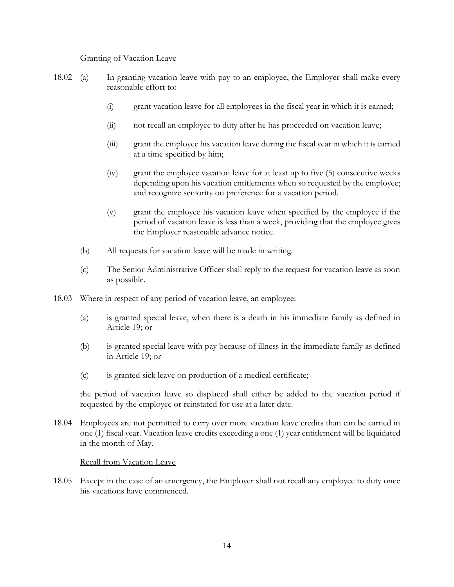#### Granting of Vacation Leave

- 18.02 (a) In granting vacation leave with pay to an employee, the Employer shall make every reasonable effort to:
	- (i) grant vacation leave for all employees in the fiscal year in which it is earned;
	- (ii) not recall an employee to duty after he has proceeded on vacation leave;
	- (iii) grant the employee his vacation leave during the fiscal year in which it is earned at a time specified by him;
	- (iv) grant the employee vacation leave for at least up to five (5) consecutive weeks depending upon his vacation entitlements when so requested by the employee; and recognize seniority on preference for a vacation period.
	- (v) grant the employee his vacation leave when specified by the employee if the period of vacation leave is less than a week, providing that the employee gives the Employer reasonable advance notice.
	- (b) All requests for vacation leave will be made in writing.
	- (c) The Senior Administrative Officer shall reply to the request for vacation leave as soon as possible.
- 18.03 Where in respect of any period of vacation leave, an employee:
	- (a) is granted special leave, when there is a death in his immediate family as defined in [Article 19;](#page-18-0) or
	- (b) is granted special leave with pay because of illness in the immediate family as defined in [Article 19;](#page-18-0) or
	- (c) is granted sick leave on production of a medical certificate;

the period of vacation leave so displaced shall either be added to the vacation period if requested by the employee or reinstated for use at a later date.

18.04 Employees are not permitted to carry over more vacation leave credits than can be earned in one (1) fiscal year. Vacation leave credits exceeding a one (1) year entitlement will be liquidated in the month of May.

#### Recall from Vacation Leave

18.05 Except in the case of an emergency, the Employer shall not recall any employee to duty once his vacations have commenced.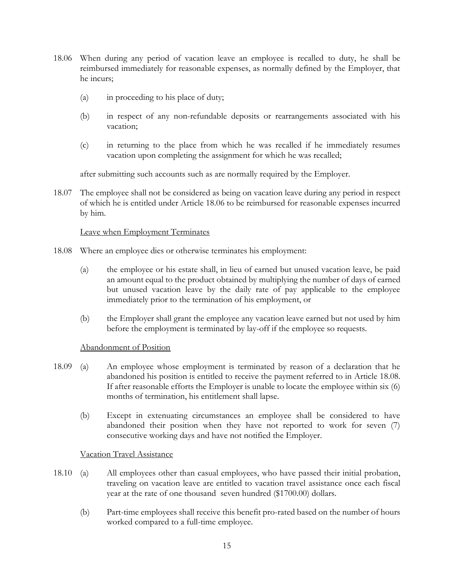- <span id="page-17-0"></span>18.06 When during any period of vacation leave an employee is recalled to duty, he shall be reimbursed immediately for reasonable expenses, as normally defined by the Employer, that he incurs;
	- (a) in proceeding to his place of duty;
	- (b) in respect of any non-refundable deposits or rearrangements associated with his vacation;
	- (c) in returning to the place from which he was recalled if he immediately resumes vacation upon completing the assignment for which he was recalled;

after submitting such accounts such as are normally required by the Employer.

18.07 The employee shall not be considered as being on vacation leave during any period in respect of which he is entitled under Article [18.06](#page-17-0) to be reimbursed for reasonable expenses incurred by him.

#### Leave when Employment Terminates

- <span id="page-17-1"></span>18.08 Where an employee dies or otherwise terminates his employment:
	- (a) the employee or his estate shall, in lieu of earned but unused vacation leave, be paid an amount equal to the product obtained by multiplying the number of days of earned but unused vacation leave by the daily rate of pay applicable to the employee immediately prior to the termination of his employment, or
	- (b) the Employer shall grant the employee any vacation leave earned but not used by him before the employment is terminated by lay-off if the employee so requests.

#### Abandonment of Position

- 18.09 (a) An employee whose employment is terminated by reason of a declaration that he abandoned his position is entitled to receive the payment referred to in Article [18.08.](#page-17-1) If after reasonable efforts the Employer is unable to locate the employee within six (6) months of termination, his entitlement shall lapse.
	- (b) Except in extenuating circumstances an employee shall be considered to have abandoned their position when they have not reported to work for seven (7) consecutive working days and have not notified the Employer.

#### Vacation Travel Assistance

- 18.10 (a) All employees other than casual employees, who have passed their initial probation, traveling on vacation leave are entitled to vacation travel assistance once each fiscal year at the rate of one thousand seven hundred (\$1700.00) dollars.
	- (b) Part-time employees shall receive this benefit pro-rated based on the number of hours worked compared to a full-time employee.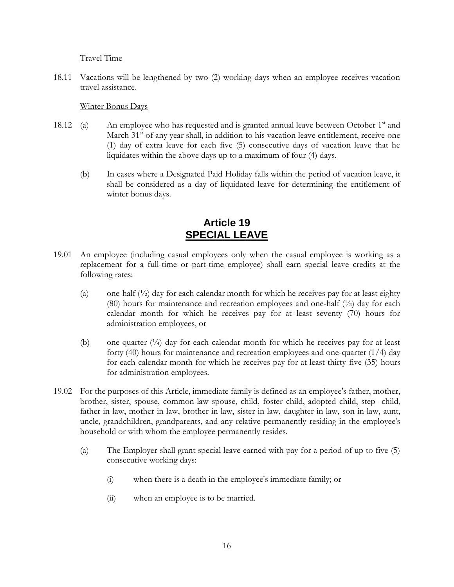Travel Time

18.11 Vacations will be lengthened by two (2) working days when an employee receives vacation travel assistance.

#### Winter Bonus Days

- 18.12 (a) An employee who has requested and is granted annual leave between October  $1<sup>st</sup>$  and March  $31<sup>st</sup>$  of any year shall, in addition to his vacation leave entitlement, receive one (1) day of extra leave for each five (5) consecutive days of vacation leave that he liquidates within the above days up to a maximum of four (4) days.
	- (b) In cases where a Designated Paid Holiday falls within the period of vacation leave, it shall be considered as a day of liquidated leave for determining the entitlement of winter bonus days.

## **Article 19 SPECIAL LEAVE**

- <span id="page-18-0"></span>19.01 An employee (including casual employees only when the casual employee is working as a replacement for a full-time or part-time employee) shall earn special leave credits at the following rates:
	- (a) one-half  $\binom{1}{2}$  day for each calendar month for which he receives pay for at least eighty (80) hours for maintenance and recreation employees and one-half  $(\frac{1}{2})$  day for each calendar month for which he receives pay for at least seventy (70) hours for administration employees, or
	- (b) one-quarter  $\binom{1}{4}$  day for each calendar month for which he receives pay for at least forty (40) hours for maintenance and recreation employees and one-quarter  $(1/4)$  day for each calendar month for which he receives pay for at least thirty-five (35) hours for administration employees.
- 19.02 For the purposes of this Article, immediate family is defined as an employee's father, mother, brother, sister, spouse, common-law spouse, child, foster child, adopted child, step- child, father-in-law, mother-in-law, brother-in-law, sister-in-law, daughter-in-law, son-in-law, aunt, uncle, grandchildren, grandparents, and any relative permanently residing in the employee's household or with whom the employee permanently resides.
	- (a) The Employer shall grant special leave earned with pay for a period of up to five (5) consecutive working days:
		- (i) when there is a death in the employee's immediate family; or
		- (ii) when an employee is to be married.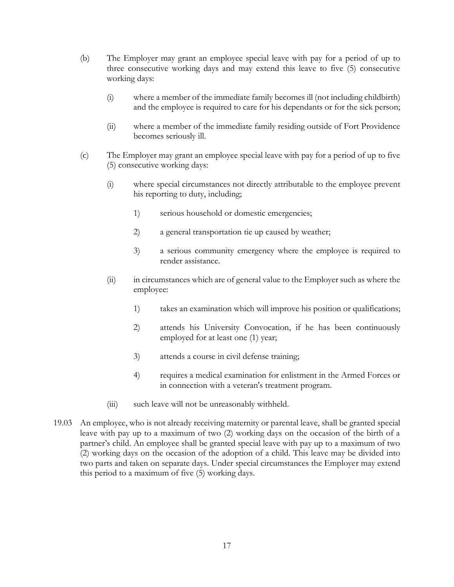- (b) The Employer may grant an employee special leave with pay for a period of up to three consecutive working days and may extend this leave to five (5) consecutive working days:
	- (i) where a member of the immediate family becomes ill (not including childbirth) and the employee is required to care for his dependants or for the sick person;
	- (ii) where a member of the immediate family residing outside of Fort Providence becomes seriously ill.
- (c) The Employer may grant an employee special leave with pay for a period of up to five (5) consecutive working days:
	- (i) where special circumstances not directly attributable to the employee prevent his reporting to duty, including;
		- 1) serious household or domestic emergencies;
		- 2) a general transportation tie up caused by weather;
		- 3) a serious community emergency where the employee is required to render assistance.
	- (ii) in circumstances which are of general value to the Employer such as where the employee:
		- 1) takes an examination which will improve his position or qualifications;
		- 2) attends his University Convocation, if he has been continuously employed for at least one (1) year;
		- 3) attends a course in civil defense training;
		- 4) requires a medical examination for enlistment in the Armed Forces or in connection with a veteran's treatment program.
	- (iii) such leave will not be unreasonably withheld.
- 19.03 An employee, who is not already receiving maternity or parental leave, shall be granted special leave with pay up to a maximum of two (2) working days on the occasion of the birth of a partner's child. An employee shall be granted special leave with pay up to a maximum of two (2) working days on the occasion of the adoption of a child. This leave may be divided into two parts and taken on separate days. Under special circumstances the Employer may extend this period to a maximum of five (5) working days.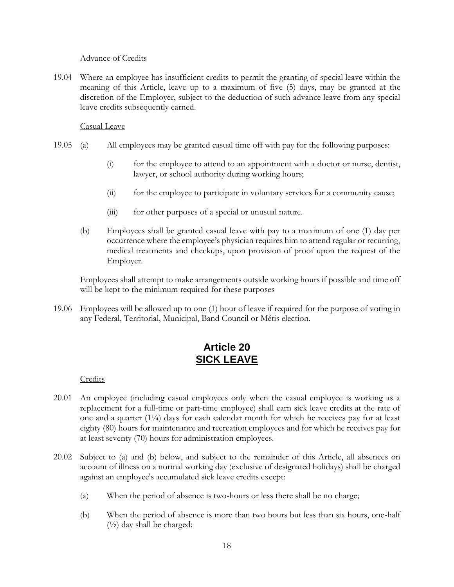#### Advance of Credits

19.04 Where an employee has insufficient credits to permit the granting of special leave within the meaning of this Article, leave up to a maximum of five (5) days, may be granted at the discretion of the Employer, subject to the deduction of such advance leave from any special leave credits subsequently earned.

### Casual Leave

- 19.05 (a) All employees may be granted casual time off with pay for the following purposes:
	- (i) for the employee to attend to an appointment with a doctor or nurse, dentist, lawyer, or school authority during working hours;
	- (ii) for the employee to participate in voluntary services for a community cause;
	- (iii) for other purposes of a special or unusual nature.
	- (b) Employees shall be granted casual leave with pay to a maximum of one (1) day per occurrence where the employee's physician requires him to attend regular or recurring, medical treatments and checkups, upon provision of proof upon the request of the Employer.

Employees shall attempt to make arrangements outside working hours if possible and time off will be kept to the minimum required for these purposes

19.06 Employees will be allowed up to one (1) hour of leave if required for the purpose of voting in any Federal, Territorial, Municipal, Band Council or Métis election.

### **Article 20 SICK LEAVE**

<span id="page-20-0"></span>**Credits** 

- <span id="page-20-3"></span>20.01 An employee (including casual employees only when the casual employee is working as a replacement for a full-time or part-time employee) shall earn sick leave credits at the rate of one and a quarter  $(1\frac{1}{4})$  days for each calendar month for which he receives pay for at least eighty (80) hours for maintenance and recreation employees and for which he receives pay for at least seventy (70) hours for administration employees.
- <span id="page-20-2"></span><span id="page-20-1"></span>20.02 Subject to [\(a\)](#page-20-1) and [\(b\) below,](#page-20-2) and subject to the remainder of this Article, all absences on account of illness on a normal working day (exclusive of designated holidays) shall be charged against an employee's accumulated sick leave credits except:
	- (a) When the period of absence is two-hours or less there shall be no charge;
	- (b) When the period of absence is more than two hours but less than six hours, one-half  $(\frac{1}{2})$  day shall be charged;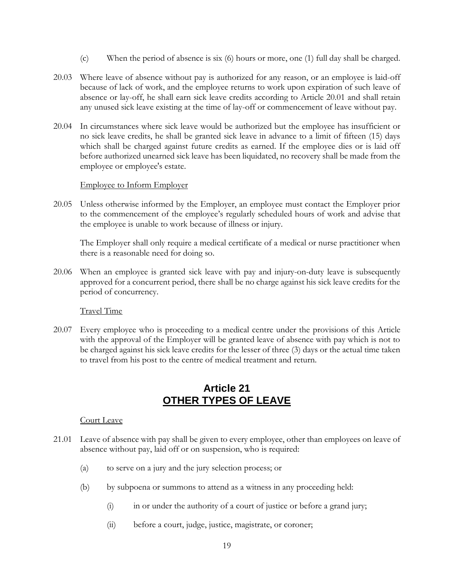- (c) When the period of absence is six (6) hours or more, one (1) full day shall be charged.
- 20.03 Where leave of absence without pay is authorized for any reason, or an employee is laid-off because of lack of work, and the employee returns to work upon expiration of such leave of absence or lay-off, he shall earn sick leave credits according to Article [20.01](#page-20-3) and shall retain any unused sick leave existing at the time of lay-off or commencement of leave without pay.
- 20.04 In circumstances where sick leave would be authorized but the employee has insufficient or no sick leave credits, he shall be granted sick leave in advance to a limit of fifteen (15) days which shall be charged against future credits as earned. If the employee dies or is laid off before authorized unearned sick leave has been liquidated, no recovery shall be made from the employee or employee's estate.

#### Employee to Inform Employer

20.05 Unless otherwise informed by the Employer, an employee must contact the Employer prior to the commencement of the employee's regularly scheduled hours of work and advise that the employee is unable to work because of illness or injury.

The Employer shall only require a medical certificate of a medical or nurse practitioner when there is a reasonable need for doing so.

20.06 When an employee is granted sick leave with pay and injury-on-duty leave is subsequently approved for a concurrent period, there shall be no charge against his sick leave credits for the period of concurrency.

Travel Time

20.07 Every employee who is proceeding to a medical centre under the provisions of this Article with the approval of the Employer will be granted leave of absence with pay which is not to be charged against his sick leave credits for the lesser of three (3) days or the actual time taken to travel from his post to the centre of medical treatment and return.

### **Article 21 OTHER TYPES OF LEAVE**

#### <span id="page-21-0"></span>Court Leave

- 21.01 Leave of absence with pay shall be given to every employee, other than employees on leave of absence without pay, laid off or on suspension, who is required:
	- (a) to serve on a jury and the jury selection process; or
	- (b) by subpoena or summons to attend as a witness in any proceeding held:
		- (i) in or under the authority of a court of justice or before a grand jury;
		- (ii) before a court, judge, justice, magistrate, or coroner;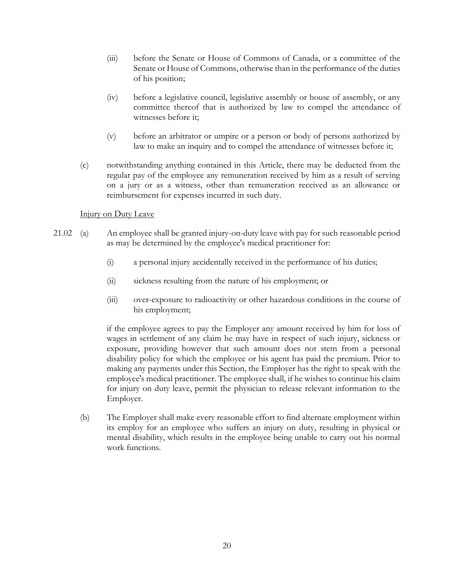- (iii) before the Senate or House of Commons of Canada, or a committee of the Senate or House of Commons, otherwise than in the performance of the duties of his position;
- (iv) before a legislative council, legislative assembly or house of assembly, or any committee thereof that is authorized by law to compel the attendance of witnesses before it;
- (v) before an arbitrator or umpire or a person or body of persons authorized by law to make an inquiry and to compel the attendance of witnesses before it;
- (c) notwithstanding anything contained in this Article, there may be deducted from the regular pay of the employee any remuneration received by him as a result of serving on a jury or as a witness, other than remuneration received as an allowance or reimbursement for expenses incurred in such duty.

### Injury on Duty Leave

- 21.02 (a) An employee shall be granted injury-on-duty leave with pay for such reasonable period as may be determined by the employee's medical practitioner for:
	- (i) a personal injury accidentally received in the performance of his duties;
	- (ii) sickness resulting from the nature of his employment; or
	- (iii) over-exposure to radioactivity or other hazardous conditions in the course of his employment;

if the employee agrees to pay the Employer any amount received by him for loss of wages in settlement of any claim he may have in respect of such injury, sickness or exposure, providing however that such amount does not stem from a personal disability policy for which the employee or his agent has paid the premium. Prior to making any payments under this Section, the Employer has the right to speak with the employee's medical practitioner. The employee shall, if he wishes to continue his claim for injury on duty leave, permit the physician to release relevant information to the Employer.

(b) The Employer shall make every reasonable effort to find alternate employment within its employ for an employee who suffers an injury on duty, resulting in physical or mental disability, which results in the employee being unable to carry out his normal work functions.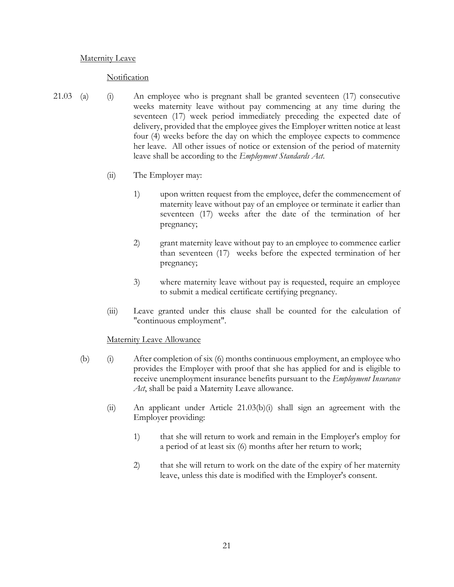#### **Maternity Leave**

#### **Notification**

- 21.03 (a) (i) An employee who is pregnant shall be granted seventeen (17) consecutive weeks maternity leave without pay commencing at any time during the seventeen (17) week period immediately preceding the expected date of delivery, provided that the employee gives the Employer written notice at least four (4) weeks before the day on which the employee expects to commence her leave. All other issues of notice or extension of the period of maternity leave shall be according to the *Employment Standards Act*.
	- (ii) The Employer may:
		- 1) upon written request from the employee, defer the commencement of maternity leave without pay of an employee or terminate it earlier than seventeen (17) weeks after the date of the termination of her pregnancy;
		- 2) grant maternity leave without pay to an employee to commence earlier than seventeen (17) weeks before the expected termination of her pregnancy;
		- 3) where maternity leave without pay is requested, require an employee to submit a medical certificate certifying pregnancy.
	- (iii) Leave granted under this clause shall be counted for the calculation of "continuous employment".

#### <span id="page-23-0"></span>Maternity Leave Allowance

- <span id="page-23-1"></span>(b) (i) After completion of six (6) months continuous employment, an employee who provides the Employer with proof that she has applied for and is eligible to receive unemployment insurance benefits pursuant to the *Employment Insurance Act*, shall be paid a Maternity Leave allowance.
	- (ii) An applicant under Article [21.03\(b\)\(i\)](#page-23-0) shall sign an agreement with the Employer providing:
		- 1) that she will return to work and remain in the Employer's employ for a period of at least six (6) months after her return to work;
		- 2) that she will return to work on the date of the expiry of her maternity leave, unless this date is modified with the Employer's consent.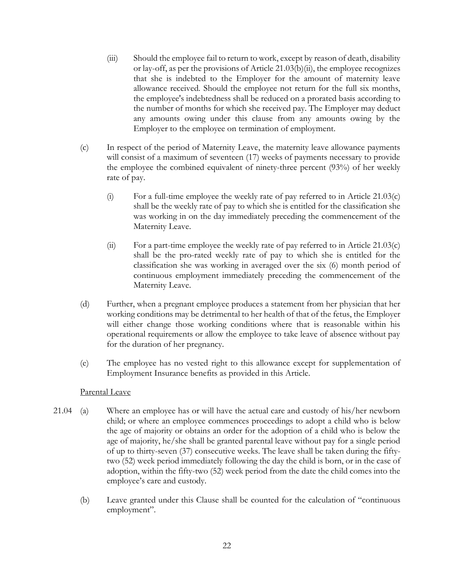- (iii) Should the employee fail to return to work, except by reason of death, disability or lay-off, as per the provisions of Article [21.03\(b\)\(ii\),](#page-23-1) the employee recognizes that she is indebted to the Employer for the amount of maternity leave allowance received. Should the employee not return for the full six months, the employee's indebtedness shall be reduced on a prorated basis according to the number of months for which she received pay. The Employer may deduct any amounts owing under this clause from any amounts owing by the Employer to the employee on termination of employment.
- <span id="page-24-0"></span>(c) In respect of the period of Maternity Leave, the maternity leave allowance payments will consist of a maximum of seventeen (17) weeks of payments necessary to provide the employee the combined equivalent of ninety-three percent (93%) of her weekly rate of pay.
	- (i) For a full-time employee the weekly rate of pay referred to in Article [21.03\(c\)](#page-24-0) shall be the weekly rate of pay to which she is entitled for the classification she was working in on the day immediately preceding the commencement of the Maternity Leave.
	- (ii) For a part-time employee the weekly rate of pay referred to in Article [21.03\(c\)](#page-24-0) shall be the pro-rated weekly rate of pay to which she is entitled for the classification she was working in averaged over the six (6) month period of continuous employment immediately preceding the commencement of the Maternity Leave.
- (d) Further, when a pregnant employee produces a statement from her physician that her working conditions may be detrimental to her health of that of the fetus, the Employer will either change those working conditions where that is reasonable within his operational requirements or allow the employee to take leave of absence without pay for the duration of her pregnancy.
- (e) The employee has no vested right to this allowance except for supplementation of Employment Insurance benefits as provided in this Article.

### Parental Leave

- 21.04 (a) Where an employee has or will have the actual care and custody of his/her newborn child; or where an employee commences proceedings to adopt a child who is below the age of majority or obtains an order for the adoption of a child who is below the age of majority, he/she shall be granted parental leave without pay for a single period of up to thirty-seven (37) consecutive weeks. The leave shall be taken during the fiftytwo (52) week period immediately following the day the child is born, or in the case of adoption, within the fifty-two (52) week period from the date the child comes into the employee's care and custody.
	- (b) Leave granted under this Clause shall be counted for the calculation of "continuous employment".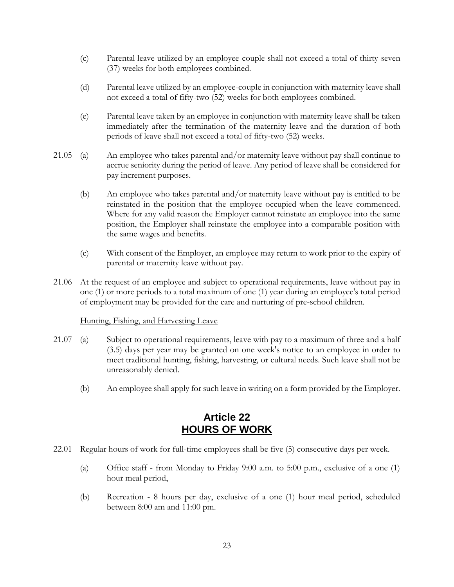- (c) Parental leave utilized by an employee-couple shall not exceed a total of thirty-seven (37) weeks for both employees combined.
- (d) Parental leave utilized by an employee-couple in conjunction with maternity leave shall not exceed a total of fifty-two (52) weeks for both employees combined.
- (e) Parental leave taken by an employee in conjunction with maternity leave shall be taken immediately after the termination of the maternity leave and the duration of both periods of leave shall not exceed a total of fifty-two (52) weeks.
- 21.05 (a) An employee who takes parental and/or maternity leave without pay shall continue to accrue seniority during the period of leave. Any period of leave shall be considered for pay increment purposes.
	- (b) An employee who takes parental and/or maternity leave without pay is entitled to be reinstated in the position that the employee occupied when the leave commenced. Where for any valid reason the Employer cannot reinstate an employee into the same position, the Employer shall reinstate the employee into a comparable position with the same wages and benefits.
	- (c) With consent of the Employer, an employee may return to work prior to the expiry of parental or maternity leave without pay.
- 21.06 At the request of an employee and subject to operational requirements, leave without pay in one (1) or more periods to a total maximum of one (1) year during an employee's total period of employment may be provided for the care and nurturing of pre-school children.

### Hunting, Fishing, and Harvesting Leave

- 21.07 (a) Subject to operational requirements, leave with pay to a maximum of three and a half (3.5) days per year may be granted on one week's notice to an employee in order to meet traditional hunting, fishing, harvesting, or cultural needs. Such leave shall not be unreasonably denied.
	- (b) An employee shall apply for such leave in writing on a form provided by the Employer.

### **Article 22 HOURS OF WORK**

- <span id="page-25-0"></span>22.01 Regular hours of work for full-time employees shall be five (5) consecutive days per week.
	- (a) Office staff from Monday to Friday 9:00 a.m. to 5:00 p.m., exclusive of a one (1) hour meal period,
	- (b) Recreation 8 hours per day, exclusive of a one (1) hour meal period, scheduled between 8:00 am and 11:00 pm.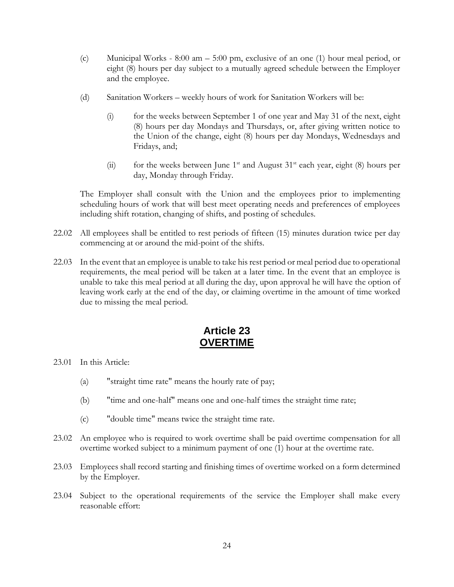- (c) Municipal Works 8:00 am 5:00 pm, exclusive of an one (1) hour meal period, or eight (8) hours per day subject to a mutually agreed schedule between the Employer and the employee.
- (d) Sanitation Workers weekly hours of work for Sanitation Workers will be:
	- (i) for the weeks between September 1 of one year and May 31 of the next, eight (8) hours per day Mondays and Thursdays, or, after giving written notice to the Union of the change, eight (8) hours per day Mondays, Wednesdays and Fridays, and;
	- (ii) for the weeks between June  $1<sup>st</sup>$  and August  $31<sup>st</sup>$  each year, eight (8) hours per day, Monday through Friday.

The Employer shall consult with the Union and the employees prior to implementing scheduling hours of work that will best meet operating needs and preferences of employees including shift rotation, changing of shifts, and posting of schedules.

- 22.02 All employees shall be entitled to rest periods of fifteen (15) minutes duration twice per day commencing at or around the mid-point of the shifts.
- 22.03 In the event that an employee is unable to take his rest period or meal period due to operational requirements, the meal period will be taken at a later time. In the event that an employee is unable to take this meal period at all during the day, upon approval he will have the option of leaving work early at the end of the day, or claiming overtime in the amount of time worked due to missing the meal period.

### **Article 23 OVERTIME**

<span id="page-26-0"></span>23.01 In this Article:

- (a) "straight time rate" means the hourly rate of pay;
- (b) "time and one-half" means one and one-half times the straight time rate;
- (c) "double time" means twice the straight time rate.
- <span id="page-26-1"></span>23.02 An employee who is required to work overtime shall be paid overtime compensation for all overtime worked subject to a minimum payment of one (1) hour at the overtime rate.
- 23.03 Employees shall record starting and finishing times of overtime worked on a form determined by the Employer.
- 23.04 Subject to the operational requirements of the service the Employer shall make every reasonable effort: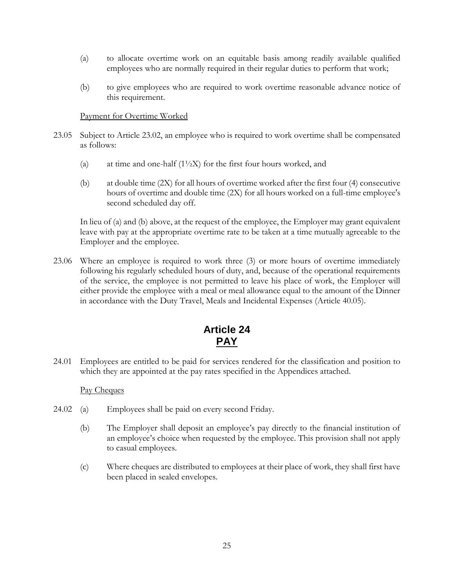- (a) to allocate overtime work on an equitable basis among readily available qualified employees who are normally required in their regular duties to perform that work;
- (b) to give employees who are required to work overtime reasonable advance notice of this requirement.

#### Payment for Overtime Worked

- <span id="page-27-2"></span><span id="page-27-1"></span>23.05 Subject to Article [23.02,](#page-26-1) an employee who is required to work overtime shall be compensated as follows:
	- (a) at time and one-half  $(1\frac{1}{2}X)$  for the first four hours worked, and
	- (b) at double time (2X) for all hours of overtime worked after the first four (4) consecutive hours of overtime and double time (2X) for all hours worked on a full-time employee's second scheduled day off.

In lieu of [\(a\)](#page-27-1) and [\(b\) above,](#page-27-2) at the request of the employee, the Employer may grant equivalent leave with pay at the appropriate overtime rate to be taken at a time mutually agreeable to the Employer and the employee.

23.06 Where an employee is required to work three (3) or more hours of overtime immediately following his regularly scheduled hours of duty, and, because of the operational requirements of the service, the employee is not permitted to leave his place of work, the Employer will either provide the employee with a meal or meal allowance equal to the amount of the Dinner in accordance with the Duty Travel, Meals and Incidental Expenses (Article [40.05\)](#page-42-0).

## **Article 24 PAY**

<span id="page-27-3"></span><span id="page-27-0"></span>24.01 Employees are entitled to be paid for services rendered for the classification and position to which they are appointed at the pay rates specified in the Appendices attached.

#### Pay Cheques

- 24.02 (a) Employees shall be paid on every second Friday.
	- (b) The Employer shall deposit an employee's pay directly to the financial institution of an employee's choice when requested by the employee. This provision shall not apply to casual employees.
	- (c) Where cheques are distributed to employees at their place of work, they shall first have been placed in sealed envelopes.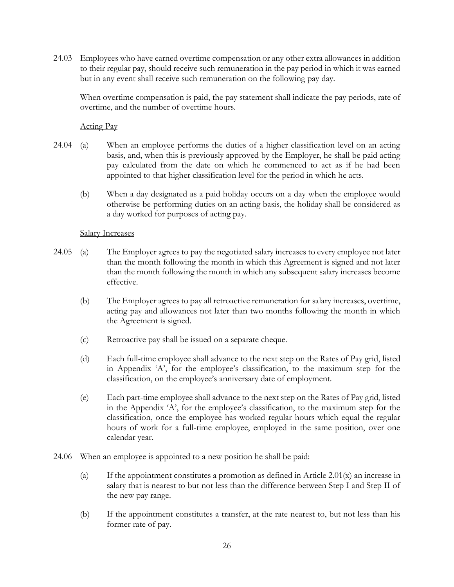24.03 Employees who have earned overtime compensation or any other extra allowances in addition to their regular pay, should receive such remuneration in the pay period in which it was earned but in any event shall receive such remuneration on the following pay day.

When overtime compensation is paid, the pay statement shall indicate the pay periods, rate of overtime, and the number of overtime hours.

Acting Pay

- 24.04 (a) When an employee performs the duties of a higher classification level on an acting basis, and, when this is previously approved by the Employer, he shall be paid acting pay calculated from the date on which he commenced to act as if he had been appointed to that higher classification level for the period in which he acts.
	- (b) When a day designated as a paid holiday occurs on a day when the employee would otherwise be performing duties on an acting basis, the holiday shall be considered as a day worked for purposes of acting pay.

### Salary Increases

- 24.05 (a) The Employer agrees to pay the negotiated salary increases to every employee not later than the month following the month in which this Agreement is signed and not later than the month following the month in which any subsequent salary increases become effective.
	- (b) The Employer agrees to pay all retroactive remuneration for salary increases, overtime, acting pay and allowances not later than two months following the month in which the Agreement is signed.
	- (c) Retroactive pay shall be issued on a separate cheque.
	- (d) Each full-time employee shall advance to the next step on the Rates of Pay grid, listed in Appendix 'A', for the employee's classification, to the maximum step for the classification, on the employee's anniversary date of employment.
	- (e) Each part-time employee shall advance to the next step on the Rates of Pay grid, listed in the Appendix 'A', for the employee's classification, to the maximum step for the classification, once the employee has worked regular hours which equal the regular hours of work for a full-time employee, employed in the same position, over one calendar year.
- 24.06 When an employee is appointed to a new position he shall be paid:
	- (a) If the appointment constitutes a promotion as defined in Article [2.01\(x\)](#page-5-0) an increase in salary that is nearest to but not less than the difference between Step I and Step II of the new pay range.
	- (b) If the appointment constitutes a transfer, at the rate nearest to, but not less than his former rate of pay.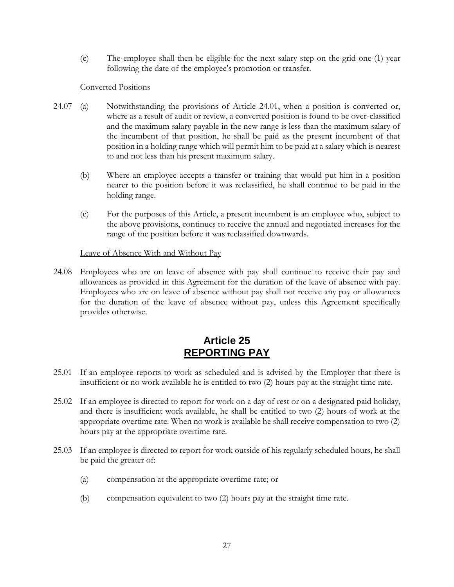(c) The employee shall then be eligible for the next salary step on the grid one (1) year following the date of the employee's promotion or transfer.

### Converted Positions

- 24.07 (a) Notwithstanding the provisions of Article [24.01,](#page-27-3) when a position is converted or, where as a result of audit or review, a converted position is found to be over-classified and the maximum salary payable in the new range is less than the maximum salary of the incumbent of that position, he shall be paid as the present incumbent of that position in a holding range which will permit him to be paid at a salary which is nearest to and not less than his present maximum salary.
	- (b) Where an employee accepts a transfer or training that would put him in a position nearer to the position before it was reclassified, he shall continue to be paid in the holding range.
	- (c) For the purposes of this Article, a present incumbent is an employee who, subject to the above provisions, continues to receive the annual and negotiated increases for the range of the position before it was reclassified downwards.

### Leave of Absence With and Without Pay

24.08 Employees who are on leave of absence with pay shall continue to receive their pay and allowances as provided in this Agreement for the duration of the leave of absence with pay. Employees who are on leave of absence without pay shall not receive any pay or allowances for the duration of the leave of absence without pay, unless this Agreement specifically provides otherwise.

## **Article 25 REPORTING PAY**

- <span id="page-29-0"></span>25.01 If an employee reports to work as scheduled and is advised by the Employer that there is insufficient or no work available he is entitled to two (2) hours pay at the straight time rate.
- 25.02 If an employee is directed to report for work on a day of rest or on a designated paid holiday, and there is insufficient work available, he shall be entitled to two (2) hours of work at the appropriate overtime rate. When no work is available he shall receive compensation to two (2) hours pay at the appropriate overtime rate.
- 25.03 If an employee is directed to report for work outside of his regularly scheduled hours, he shall be paid the greater of:
	- (a) compensation at the appropriate overtime rate; or
	- (b) compensation equivalent to two (2) hours pay at the straight time rate.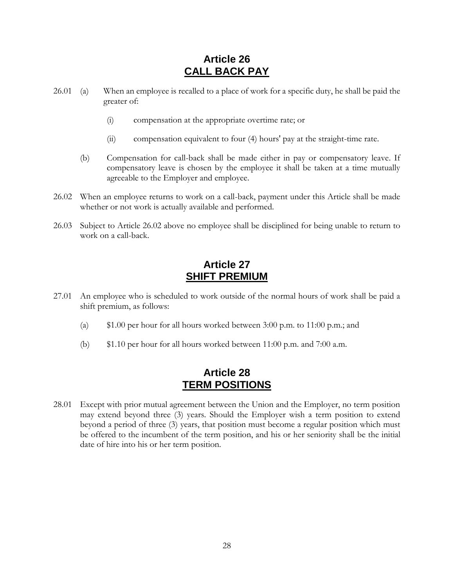## **Article 26 CALL BACK PAY**

- <span id="page-30-0"></span>26.01 (a) When an employee is recalled to a place of work for a specific duty, he shall be paid the greater of:
	- (i) compensation at the appropriate overtime rate; or
	- (ii) compensation equivalent to four (4) hours' pay at the straight-time rate.
	- (b) Compensation for call-back shall be made either in pay or compensatory leave. If compensatory leave is chosen by the employee it shall be taken at a time mutually agreeable to the Employer and employee.
- <span id="page-30-3"></span>26.02 When an employee returns to work on a call-back, payment under this Article shall be made whether or not work is actually available and performed.
- 26.03 Subject to Article [26.02](#page-30-3) above no employee shall be disciplined for being unable to return to work on a call-back.

## **Article 27 SHIFT PREMIUM**

- <span id="page-30-1"></span>27.01 An employee who is scheduled to work outside of the normal hours of work shall be paid a shift premium, as follows:
	- (a) \$1.00 per hour for all hours worked between 3:00 p.m. to 11:00 p.m.; and
	- (b) \$1.10 per hour for all hours worked between 11:00 p.m. and 7:00 a.m.

### **Article 28 TERM POSITIONS**

<span id="page-30-2"></span>28.01 Except with prior mutual agreement between the Union and the Employer, no term position may extend beyond three (3) years. Should the Employer wish a term position to extend beyond a period of three (3) years, that position must become a regular position which must be offered to the incumbent of the term position, and his or her seniority shall be the initial date of hire into his or her term position.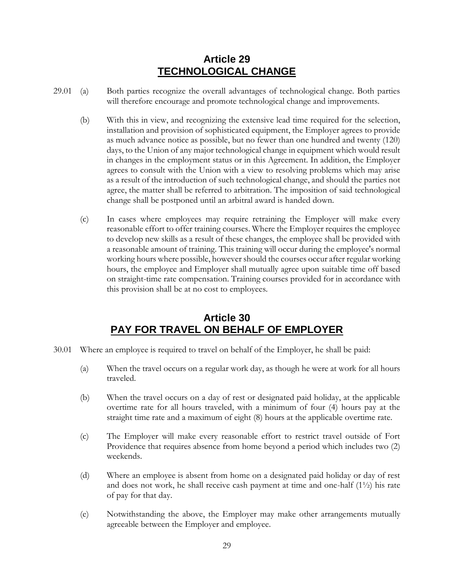## **Article 29 TECHNOLOGICAL CHANGE**

- <span id="page-31-0"></span>29.01 (a) Both parties recognize the overall advantages of technological change. Both parties will therefore encourage and promote technological change and improvements.
	- (b) With this in view, and recognizing the extensive lead time required for the selection, installation and provision of sophisticated equipment, the Employer agrees to provide as much advance notice as possible, but no fewer than one hundred and twenty (120) days, to the Union of any major technological change in equipment which would result in changes in the employment status or in this Agreement. In addition, the Employer agrees to consult with the Union with a view to resolving problems which may arise as a result of the introduction of such technological change, and should the parties not agree, the matter shall be referred to arbitration. The imposition of said technological change shall be postponed until an arbitral award is handed down.
	- (c) In cases where employees may require retraining the Employer will make every reasonable effort to offer training courses. Where the Employer requires the employee to develop new skills as a result of these changes, the employee shall be provided with a reasonable amount of training. This training will occur during the employee's normal working hours where possible, however should the courses occur after regular working hours, the employee and Employer shall mutually agree upon suitable time off based on straight-time rate compensation. Training courses provided for in accordance with this provision shall be at no cost to employees.

## **Article 30 PAY FOR TRAVEL ON BEHALF OF EMPLOYER**

- <span id="page-31-1"></span>30.01 Where an employee is required to travel on behalf of the Employer, he shall be paid:
	- (a) When the travel occurs on a regular work day, as though he were at work for all hours traveled.
	- (b) When the travel occurs on a day of rest or designated paid holiday, at the applicable overtime rate for all hours traveled, with a minimum of four (4) hours pay at the straight time rate and a maximum of eight (8) hours at the applicable overtime rate.
	- (c) The Employer will make every reasonable effort to restrict travel outside of Fort Providence that requires absence from home beyond a period which includes two (2) weekends.
	- (d) Where an employee is absent from home on a designated paid holiday or day of rest and does not work, he shall receive cash payment at time and one-half (1½) his rate of pay for that day.
	- (e) Notwithstanding the above, the Employer may make other arrangements mutually agreeable between the Employer and employee.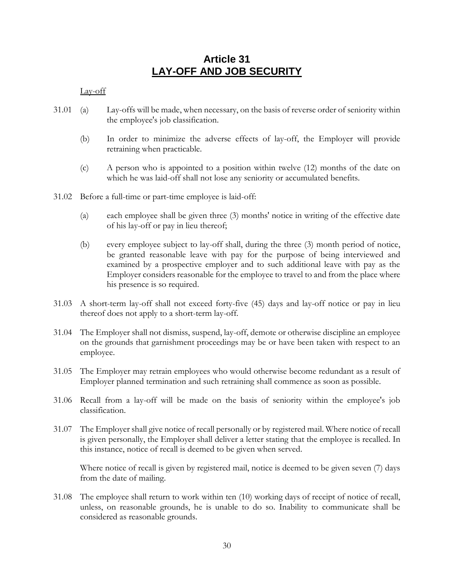### **Article 31 LAY-OFF AND JOB SECURITY**

### <span id="page-32-0"></span>Lay-off

- 31.01 (a) Lay-offs will be made, when necessary, on the basis of reverse order of seniority within the employee's job classification.
	- (b) In order to minimize the adverse effects of lay-off, the Employer will provide retraining when practicable.
	- (c) A person who is appointed to a position within twelve (12) months of the date on which he was laid-off shall not lose any seniority or accumulated benefits.
- 31.02 Before a full-time or part-time employee is laid-off:
	- (a) each employee shall be given three (3) months' notice in writing of the effective date of his lay-off or pay in lieu thereof;
	- (b) every employee subject to lay-off shall, during the three (3) month period of notice, be granted reasonable leave with pay for the purpose of being interviewed and examined by a prospective employer and to such additional leave with pay as the Employer considers reasonable for the employee to travel to and from the place where his presence is so required.
- 31.03 A short-term lay-off shall not exceed forty-five (45) days and lay-off notice or pay in lieu thereof does not apply to a short-term lay-off.
- 31.04 The Employer shall not dismiss, suspend, lay-off, demote or otherwise discipline an employee on the grounds that garnishment proceedings may be or have been taken with respect to an employee.
- 31.05 The Employer may retrain employees who would otherwise become redundant as a result of Employer planned termination and such retraining shall commence as soon as possible.
- 31.06 Recall from a lay-off will be made on the basis of seniority within the employee's job classification.
- 31.07 The Employer shall give notice of recall personally or by registered mail. Where notice of recall is given personally, the Employer shall deliver a letter stating that the employee is recalled. In this instance, notice of recall is deemed to be given when served.

Where notice of recall is given by registered mail, notice is deemed to be given seven (7) days from the date of mailing.

31.08 The employee shall return to work within ten (10) working days of receipt of notice of recall, unless, on reasonable grounds, he is unable to do so. Inability to communicate shall be considered as reasonable grounds.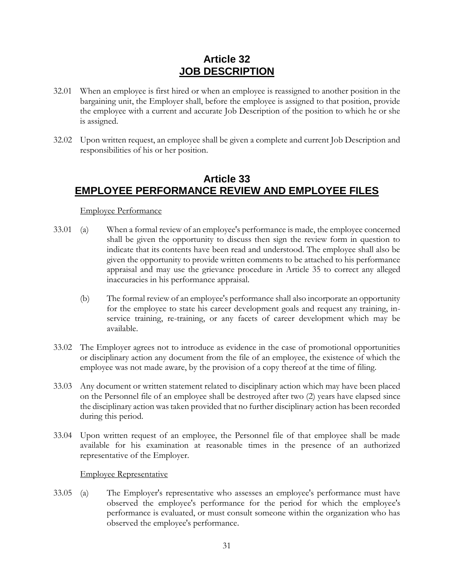## **Article 32 JOB DESCRIPTION**

- <span id="page-33-0"></span>32.01 When an employee is first hired or when an employee is reassigned to another position in the bargaining unit, the Employer shall, before the employee is assigned to that position, provide the employee with a current and accurate Job Description of the position to which he or she is assigned.
- 32.02 Upon written request, an employee shall be given a complete and current Job Description and responsibilities of his or her position.

### <span id="page-33-1"></span>**Article 33 EMPLOYEE PERFORMANCE REVIEW AND EMPLOYEE FILES**

### Employee Performance

- 33.01 (a) When a formal review of an employee's performance is made, the employee concerned shall be given the opportunity to discuss then sign the review form in question to indicate that its contents have been read and understood. The employee shall also be given the opportunity to provide written comments to be attached to his performance appraisal and may use the grievance procedure in [Article 35](#page-34-1) to correct any alleged inaccuracies in his performance appraisal.
	- (b) The formal review of an employee's performance shall also incorporate an opportunity for the employee to state his career development goals and request any training, inservice training, re-training, or any facets of career development which may be available.
- 33.02 The Employer agrees not to introduce as evidence in the case of promotional opportunities or disciplinary action any document from the file of an employee, the existence of which the employee was not made aware, by the provision of a copy thereof at the time of filing.
- 33.03 Any document or written statement related to disciplinary action which may have been placed on the Personnel file of an employee shall be destroyed after two (2) years have elapsed since the disciplinary action was taken provided that no further disciplinary action has been recorded during this period.
- 33.04 Upon written request of an employee, the Personnel file of that employee shall be made available for his examination at reasonable times in the presence of an authorized representative of the Employer.

#### Employee Representative

33.05 (a) The Employer's representative who assesses an employee's performance must have observed the employee's performance for the period for which the employee's performance is evaluated, or must consult someone within the organization who has observed the employee's performance.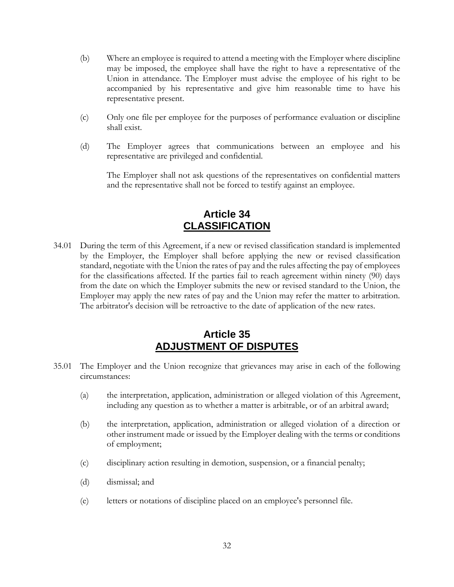- (b) Where an employee is required to attend a meeting with the Employer where discipline may be imposed, the employee shall have the right to have a representative of the Union in attendance. The Employer must advise the employee of his right to be accompanied by his representative and give him reasonable time to have his representative present.
- (c) Only one file per employee for the purposes of performance evaluation or discipline shall exist.
- (d) The Employer agrees that communications between an employee and his representative are privileged and confidential.

The Employer shall not ask questions of the representatives on confidential matters and the representative shall not be forced to testify against an employee.

## **Article 34 CLASSIFICATION**

<span id="page-34-0"></span>34.01 During the term of this Agreement, if a new or revised classification standard is implemented by the Employer, the Employer shall before applying the new or revised classification standard, negotiate with the Union the rates of pay and the rules affecting the pay of employees for the classifications affected. If the parties fail to reach agreement within ninety (90) days from the date on which the Employer submits the new or revised standard to the Union, the Employer may apply the new rates of pay and the Union may refer the matter to arbitration. The arbitrator's decision will be retroactive to the date of application of the new rates.

### **Article 35 ADJUSTMENT OF DISPUTES**

- <span id="page-34-1"></span>35.01 The Employer and the Union recognize that grievances may arise in each of the following circumstances:
	- (a) the interpretation, application, administration or alleged violation of this Agreement, including any question as to whether a matter is arbitrable, or of an arbitral award;
	- (b) the interpretation, application, administration or alleged violation of a direction or other instrument made or issued by the Employer dealing with the terms or conditions of employment;
	- (c) disciplinary action resulting in demotion, suspension, or a financial penalty;
	- (d) dismissal; and
	- (e) letters or notations of discipline placed on an employee's personnel file.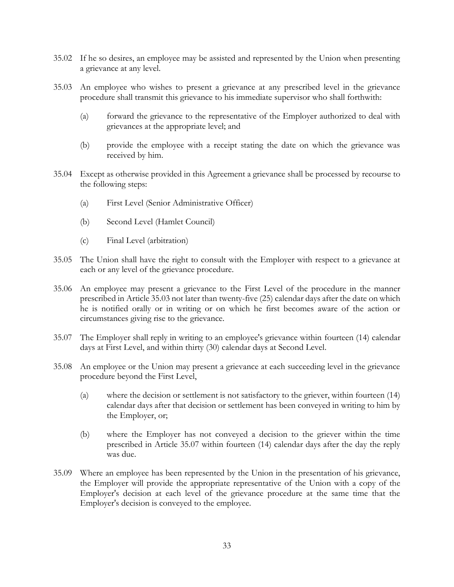- 35.02 If he so desires, an employee may be assisted and represented by the Union when presenting a grievance at any level.
- <span id="page-35-0"></span>35.03 An employee who wishes to present a grievance at any prescribed level in the grievance procedure shall transmit this grievance to his immediate supervisor who shall forthwith:
	- (a) forward the grievance to the representative of the Employer authorized to deal with grievances at the appropriate level; and
	- (b) provide the employee with a receipt stating the date on which the grievance was received by him.
- 35.04 Except as otherwise provided in this Agreement a grievance shall be processed by recourse to the following steps:
	- (a) First Level (Senior Administrative Officer)
	- (b) Second Level (Hamlet Council)
	- (c) Final Level (arbitration)
- 35.05 The Union shall have the right to consult with the Employer with respect to a grievance at each or any level of the grievance procedure.
- 35.06 An employee may present a grievance to the First Level of the procedure in the manner prescribed in Article [35.03](#page-35-0) not later than twenty-five (25) calendar days after the date on which he is notified orally or in writing or on which he first becomes aware of the action or circumstances giving rise to the grievance.
- <span id="page-35-1"></span>35.07 The Employer shall reply in writing to an employee's grievance within fourteen (14) calendar days at First Level, and within thirty (30) calendar days at Second Level.
- 35.08 An employee or the Union may present a grievance at each succeeding level in the grievance procedure beyond the First Level,
	- (a) where the decision or settlement is not satisfactory to the griever, within fourteen (14) calendar days after that decision or settlement has been conveyed in writing to him by the Employer, or;
	- (b) where the Employer has not conveyed a decision to the griever within the time prescribed in Article [35.07](#page-35-1) within fourteen (14) calendar days after the day the reply was due.
- 35.09 Where an employee has been represented by the Union in the presentation of his grievance, the Employer will provide the appropriate representative of the Union with a copy of the Employer's decision at each level of the grievance procedure at the same time that the Employer's decision is conveyed to the employee.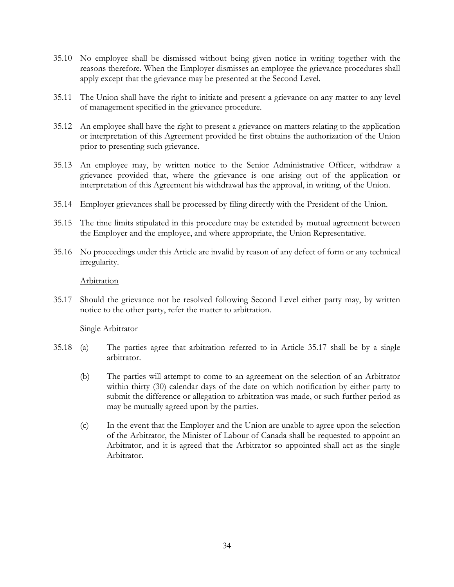- 35.10 No employee shall be dismissed without being given notice in writing together with the reasons therefore. When the Employer dismisses an employee the grievance procedures shall apply except that the grievance may be presented at the Second Level.
- 35.11 The Union shall have the right to initiate and present a grievance on any matter to any level of management specified in the grievance procedure.
- 35.12 An employee shall have the right to present a grievance on matters relating to the application or interpretation of this Agreement provided he first obtains the authorization of the Union prior to presenting such grievance.
- 35.13 An employee may, by written notice to the Senior Administrative Officer, withdraw a grievance provided that, where the grievance is one arising out of the application or interpretation of this Agreement his withdrawal has the approval, in writing, of the Union.
- 35.14 Employer grievances shall be processed by filing directly with the President of the Union.
- 35.15 The time limits stipulated in this procedure may be extended by mutual agreement between the Employer and the employee, and where appropriate, the Union Representative.
- 35.16 No proceedings under this Article are invalid by reason of any defect of form or any technical irregularity.

#### **Arbitration**

<span id="page-36-0"></span>35.17 Should the grievance not be resolved following Second Level either party may, by written notice to the other party, refer the matter to arbitration.

#### Single Arbitrator

- 35.18 (a) The parties agree that arbitration referred to in Article [35.17](#page-36-0) shall be by a single arbitrator.
	- (b) The parties will attempt to come to an agreement on the selection of an Arbitrator within thirty (30) calendar days of the date on which notification by either party to submit the difference or allegation to arbitration was made, or such further period as may be mutually agreed upon by the parties.
	- (c) In the event that the Employer and the Union are unable to agree upon the selection of the Arbitrator, the Minister of Labour of Canada shall be requested to appoint an Arbitrator, and it is agreed that the Arbitrator so appointed shall act as the single Arbitrator.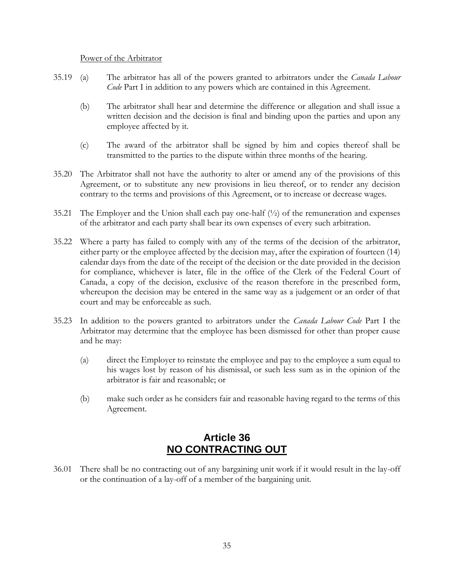#### Power of the Arbitrator

- 35.19 (a) The arbitrator has all of the powers granted to arbitrators under the *Canada Labour Code* Part I in addition to any powers which are contained in this Agreement.
	- (b) The arbitrator shall hear and determine the difference or allegation and shall issue a written decision and the decision is final and binding upon the parties and upon any employee affected by it.
	- (c) The award of the arbitrator shall be signed by him and copies thereof shall be transmitted to the parties to the dispute within three months of the hearing.
- 35.20 The Arbitrator shall not have the authority to alter or amend any of the provisions of this Agreement, or to substitute any new provisions in lieu thereof, or to render any decision contrary to the terms and provisions of this Agreement, or to increase or decrease wages.
- 35.21 The Employer and the Union shall each pay one-half  $(\frac{1}{2})$  of the remuneration and expenses of the arbitrator and each party shall bear its own expenses of every such arbitration.
- 35.22 Where a party has failed to comply with any of the terms of the decision of the arbitrator, either party or the employee affected by the decision may, after the expiration of fourteen (14) calendar days from the date of the receipt of the decision or the date provided in the decision for compliance, whichever is later, file in the office of the Clerk of the Federal Court of Canada, a copy of the decision, exclusive of the reason therefore in the prescribed form, whereupon the decision may be entered in the same way as a judgement or an order of that court and may be enforceable as such.
- 35.23 In addition to the powers granted to arbitrators under the *Canada Labour Code* Part I the Arbitrator may determine that the employee has been dismissed for other than proper cause and he may:
	- (a) direct the Employer to reinstate the employee and pay to the employee a sum equal to his wages lost by reason of his dismissal, or such less sum as in the opinion of the arbitrator is fair and reasonable; or
	- (b) make such order as he considers fair and reasonable having regard to the terms of this Agreement.

## **Article 36 NO CONTRACTING OUT**

<span id="page-37-0"></span>36.01 There shall be no contracting out of any bargaining unit work if it would result in the lay-off or the continuation of a lay-off of a member of the bargaining unit.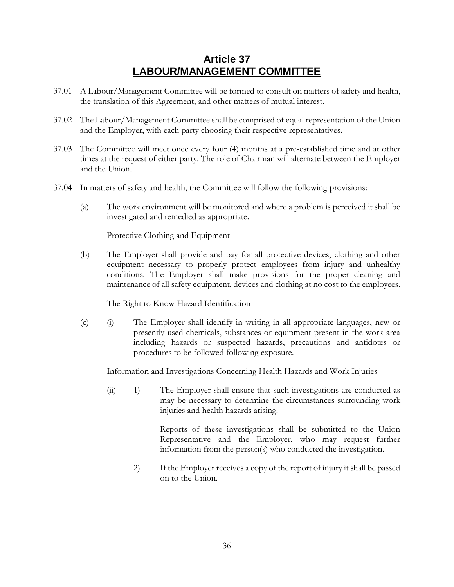## **Article 37 LABOUR/MANAGEMENT COMMITTEE**

- <span id="page-38-0"></span>37.01 A Labour/Management Committee will be formed to consult on matters of safety and health, the translation of this Agreement, and other matters of mutual interest.
- 37.02 The Labour/Management Committee shall be comprised of equal representation of the Union and the Employer, with each party choosing their respective representatives.
- 37.03 The Committee will meet once every four (4) months at a pre-established time and at other times at the request of either party. The role of Chairman will alternate between the Employer and the Union.
- 37.04 In matters of safety and health, the Committee will follow the following provisions:
	- (a) The work environment will be monitored and where a problem is perceived it shall be investigated and remedied as appropriate.

#### Protective Clothing and Equipment

(b) The Employer shall provide and pay for all protective devices, clothing and other equipment necessary to properly protect employees from injury and unhealthy conditions. The Employer shall make provisions for the proper cleaning and maintenance of all safety equipment, devices and clothing at no cost to the employees.

### The Right to Know Hazard Identification

(c) (i) The Employer shall identify in writing in all appropriate languages, new or presently used chemicals, substances or equipment present in the work area including hazards or suspected hazards, precautions and antidotes or procedures to be followed following exposure.

#### Information and Investigations Concerning Health Hazards and Work Injuries

(ii) 1) The Employer shall ensure that such investigations are conducted as may be necessary to determine the circumstances surrounding work injuries and health hazards arising.

> Reports of these investigations shall be submitted to the Union Representative and the Employer, who may request further information from the person(s) who conducted the investigation.

2) If the Employer receives a copy of the report of injury it shall be passed on to the Union.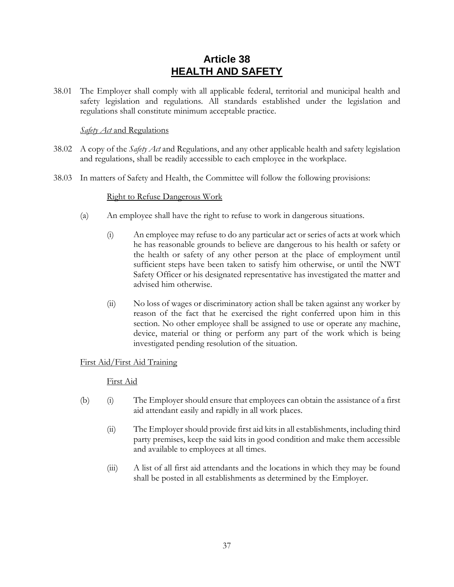## **Article 38 HEALTH AND SAFETY**

<span id="page-39-0"></span>38.01 The Employer shall comply with all applicable federal, territorial and municipal health and safety legislation and regulations. All standards established under the legislation and regulations shall constitute minimum acceptable practice.

### *Safety Act* and Regulations

- 38.02 A copy of the *Safety Act* and Regulations, and any other applicable health and safety legislation and regulations, shall be readily accessible to each employee in the workplace.
- 38.03 In matters of Safety and Health, the Committee will follow the following provisions:

#### Right to Refuse Dangerous Work

- (a) An employee shall have the right to refuse to work in dangerous situations.
	- (i) An employee may refuse to do any particular act or series of acts at work which he has reasonable grounds to believe are dangerous to his health or safety or the health or safety of any other person at the place of employment until sufficient steps have been taken to satisfy him otherwise, or until the NWT Safety Officer or his designated representative has investigated the matter and advised him otherwise.
	- (ii) No loss of wages or discriminatory action shall be taken against any worker by reason of the fact that he exercised the right conferred upon him in this section. No other employee shall be assigned to use or operate any machine, device, material or thing or perform any part of the work which is being investigated pending resolution of the situation.

### First Aid/First Aid Training

### First Aid

- (b) (i) The Employer should ensure that employees can obtain the assistance of a first aid attendant easily and rapidly in all work places.
	- (ii) The Employer should provide first aid kits in all establishments, including third party premises, keep the said kits in good condition and make them accessible and available to employees at all times.
	- (iii) A list of all first aid attendants and the locations in which they may be found shall be posted in all establishments as determined by the Employer.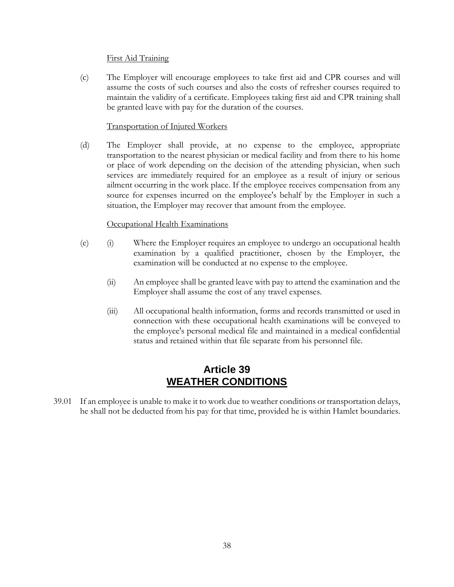#### First Aid Training

(c) The Employer will encourage employees to take first aid and CPR courses and will assume the costs of such courses and also the costs of refresher courses required to maintain the validity of a certificate. Employees taking first aid and CPR training shall be granted leave with pay for the duration of the courses.

#### Transportation of Injured Workers

(d) The Employer shall provide, at no expense to the employee, appropriate transportation to the nearest physician or medical facility and from there to his home or place of work depending on the decision of the attending physician, when such services are immediately required for an employee as a result of injury or serious ailment occurring in the work place. If the employee receives compensation from any source for expenses incurred on the employee's behalf by the Employer in such a situation, the Employer may recover that amount from the employee.

### Occupational Health Examinations

- (e) (i) Where the Employer requires an employee to undergo an occupational health examination by a qualified practitioner, chosen by the Employer, the examination will be conducted at no expense to the employee.
	- (ii) An employee shall be granted leave with pay to attend the examination and the Employer shall assume the cost of any travel expenses.
	- (iii) All occupational health information, forms and records transmitted or used in connection with these occupational health examinations will be conveyed to the employee's personal medical file and maintained in a medical confidential status and retained within that file separate from his personnel file.

### **Article 39 WEATHER CONDITIONS**

<span id="page-40-0"></span>39.01 If an employee is unable to make it to work due to weather conditions or transportation delays, he shall not be deducted from his pay for that time, provided he is within Hamlet boundaries.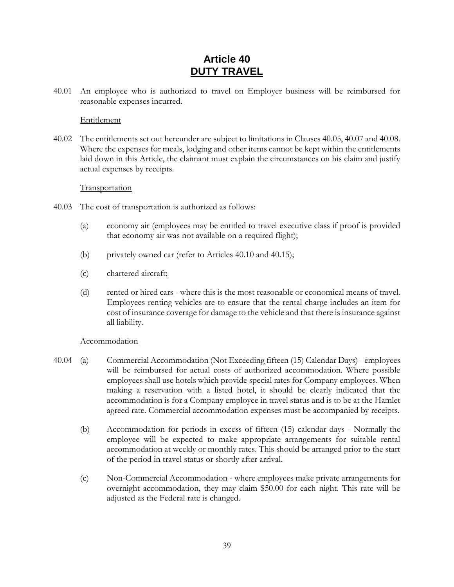## **Article 40 DUTY TRAVEL**

<span id="page-41-0"></span>40.01 An employee who is authorized to travel on Employer business will be reimbursed for reasonable expenses incurred.

#### Entitlement

40.02 The entitlements set out hereunder are subject to limitations in Clauses 40.05, 40.07 and 40.08. Where the expenses for meals, lodging and other items cannot be kept within the entitlements laid down in this Article, the claimant must explain the circumstances on his claim and justify actual expenses by receipts.

#### **Transportation**

- 40.03 The cost of transportation is authorized as follows:
	- (a) economy air (employees may be entitled to travel executive class if proof is provided that economy air was not available on a required flight);
	- (b) privately owned car (refer to Articles [40.10](#page-43-0) and [40.15\)](#page-45-1);
	- (c) chartered aircraft;
	- (d) rented or hired cars where this is the most reasonable or economical means of travel. Employees renting vehicles are to ensure that the rental charge includes an item for cost of insurance coverage for damage to the vehicle and that there is insurance against all liability.

### Accommodation

- <span id="page-41-1"></span>40.04 (a) Commercial Accommodation (Not Exceeding fifteen (15) Calendar Days) - employees will be reimbursed for actual costs of authorized accommodation. Where possible employees shall use hotels which provide special rates for Company employees. When making a reservation with a listed hotel, it should be clearly indicated that the accommodation is for a Company employee in travel status and is to be at the Hamlet agreed rate. Commercial accommodation expenses must be accompanied by receipts.
	- (b) Accommodation for periods in excess of fifteen (15) calendar days Normally the employee will be expected to make appropriate arrangements for suitable rental accommodation at weekly or monthly rates. This should be arranged prior to the start of the period in travel status or shortly after arrival.
	- (c) Non-Commercial Accommodation where employees make private arrangements for overnight accommodation, they may claim \$50.00 for each night. This rate will be adjusted as the Federal rate is changed.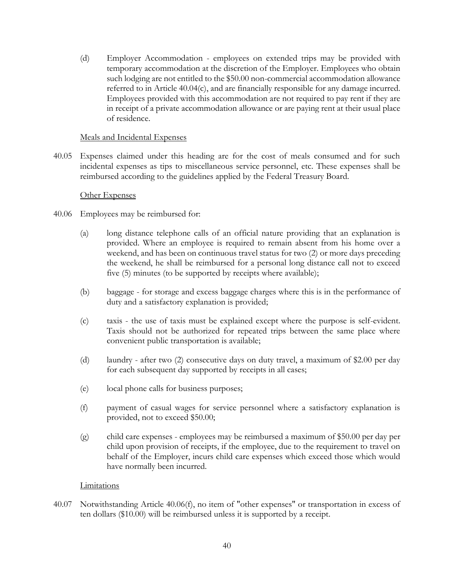(d) Employer Accommodation - employees on extended trips may be provided with temporary accommodation at the discretion of the Employer. Employees who obtain such lodging are not entitled to the \$50.00 non-commercial accommodation allowance referred to in Article [40.04\(c\),](#page-41-1) and are financially responsible for any damage incurred. Employees provided with this accommodation are not required to pay rent if they are in receipt of a private accommodation allowance or are paying rent at their usual place of residence.

#### Meals and Incidental Expenses

<span id="page-42-0"></span>40.05 Expenses claimed under this heading are for the cost of meals consumed and for such incidental expenses as tips to miscellaneous service personnel, etc. These expenses shall be reimbursed according to the guidelines applied by the Federal Treasury Board.

#### Other Expenses

- <span id="page-42-2"></span>40.06 Employees may be reimbursed for:
	- (a) long distance telephone calls of an official nature providing that an explanation is provided. Where an employee is required to remain absent from his home over a weekend, and has been on continuous travel status for two (2) or more days preceding the weekend, he shall be reimbursed for a personal long distance call not to exceed five (5) minutes (to be supported by receipts where available);
	- (b) baggage for storage and excess baggage charges where this is in the performance of duty and a satisfactory explanation is provided;
	- (c) taxis the use of taxis must be explained except where the purpose is self-evident. Taxis should not be authorized for repeated trips between the same place where convenient public transportation is available;
	- (d) laundry after two (2) consecutive days on duty travel, a maximum of \$2.00 per day for each subsequent day supported by receipts in all cases;
	- (e) local phone calls for business purposes;
	- (f) payment of casual wages for service personnel where a satisfactory explanation is provided, not to exceed \$50.00;
	- (g) child care expenses employees may be reimbursed a maximum of \$50.00 per day per child upon provision of receipts, if the employee, due to the requirement to travel on behalf of the Employer, incurs child care expenses which exceed those which would have normally been incurred.

### <span id="page-42-1"></span>**Limitations**

40.07 Notwithstanding Article [40.06\(f\),](#page-42-1) no item of "other expenses" or transportation in excess of ten dollars (\$10.00) will be reimbursed unless it is supported by a receipt.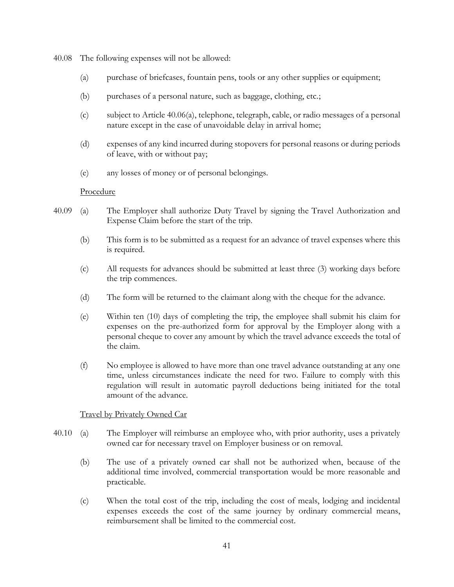40.08 The following expenses will not be allowed:

- (a) purchase of briefcases, fountain pens, tools or any other supplies or equipment;
- (b) purchases of a personal nature, such as baggage, clothing, etc.;
- (c) subject to Article [40.06\(a\),](#page-42-2) telephone, telegraph, cable, or radio messages of a personal nature except in the case of unavoidable delay in arrival home;
- (d) expenses of any kind incurred during stopovers for personal reasons or during periods of leave, with or without pay;
- (e) any losses of money or of personal belongings.

#### **Procedure**

- 40.09 (a) The Employer shall authorize Duty Travel by signing the Travel Authorization and Expense Claim before the start of the trip.
	- (b) This form is to be submitted as a request for an advance of travel expenses where this is required.
	- (c) All requests for advances should be submitted at least three (3) working days before the trip commences.
	- (d) The form will be returned to the claimant along with the cheque for the advance.
	- (e) Within ten (10) days of completing the trip, the employee shall submit his claim for expenses on the pre-authorized form for approval by the Employer along with a personal cheque to cover any amount by which the travel advance exceeds the total of the claim.
	- (f) No employee is allowed to have more than one travel advance outstanding at any one time, unless circumstances indicate the need for two. Failure to comply with this regulation will result in automatic payroll deductions being initiated for the total amount of the advance.

#### Travel by Privately Owned Car

- <span id="page-43-0"></span>40.10 (a) The Employer will reimburse an employee who, with prior authority, uses a privately owned car for necessary travel on Employer business or on removal.
	- (b) The use of a privately owned car shall not be authorized when, because of the additional time involved, commercial transportation would be more reasonable and practicable.
	- (c) When the total cost of the trip, including the cost of meals, lodging and incidental expenses exceeds the cost of the same journey by ordinary commercial means, reimbursement shall be limited to the commercial cost.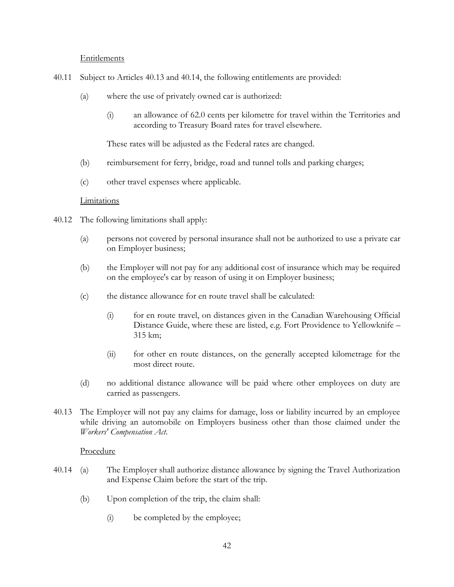#### Entitlements

- 40.11 Subject to Articles [40.13](#page-44-0) and [40.14,](#page-44-1) the following entitlements are provided:
	- (a) where the use of privately owned car is authorized:
		- (i) an allowance of 62.0 cents per kilometre for travel within the Territories and according to Treasury Board rates for travel elsewhere.

These rates will be adjusted as the Federal rates are changed.

- (b) reimbursement for ferry, bridge, road and tunnel tolls and parking charges;
- (c) other travel expenses where applicable.

#### Limitations

- <span id="page-44-2"></span>40.12 The following limitations shall apply:
	- (a) persons not covered by personal insurance shall not be authorized to use a private car on Employer business;
	- (b) the Employer will not pay for any additional cost of insurance which may be required on the employee's car by reason of using it on Employer business;
	- (c) the distance allowance for en route travel shall be calculated:
		- (i) for en route travel, on distances given in the Canadian Warehousing Official Distance Guide, where these are listed, e.g. Fort Providence to Yellowknife – 315 km;
		- (ii) for other en route distances, on the generally accepted kilometrage for the most direct route.
	- (d) no additional distance allowance will be paid where other employees on duty are carried as passengers.
- <span id="page-44-0"></span>40.13 The Employer will not pay any claims for damage, loss or liability incurred by an employee while driving an automobile on Employers business other than those claimed under the *Workers' Compensation Act*.

#### Procedure

- <span id="page-44-1"></span>40.14 (a) The Employer shall authorize distance allowance by signing the Travel Authorization and Expense Claim before the start of the trip.
	- (b) Upon completion of the trip, the claim shall:
		- (i) be completed by the employee;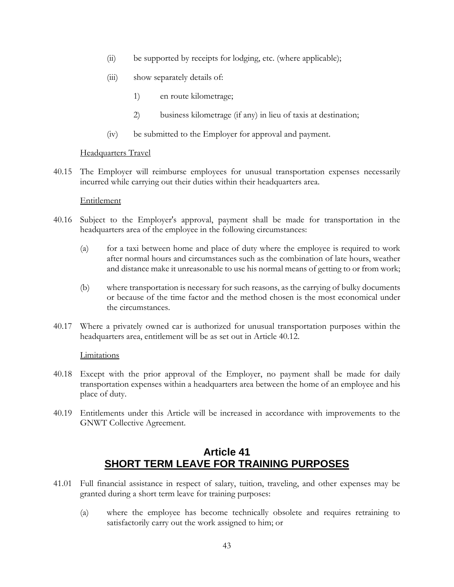- (ii) be supported by receipts for lodging, etc. (where applicable);
- (iii) show separately details of:
	- 1) en route kilometrage;
	- 2) business kilometrage (if any) in lieu of taxis at destination;
- (iv) be submitted to the Employer for approval and payment.

### Headquarters Travel

<span id="page-45-1"></span>40.15 The Employer will reimburse employees for unusual transportation expenses necessarily incurred while carrying out their duties within their headquarters area.

#### Entitlement

- 40.16 Subject to the Employer's approval, payment shall be made for transportation in the headquarters area of the employee in the following circumstances:
	- (a) for a taxi between home and place of duty where the employee is required to work after normal hours and circumstances such as the combination of late hours, weather and distance make it unreasonable to use his normal means of getting to or from work;
	- (b) where transportation is necessary for such reasons, as the carrying of bulky documents or because of the time factor and the method chosen is the most economical under the circumstances.
- 40.17 Where a privately owned car is authorized for unusual transportation purposes within the headquarters area, entitlement will be as set out in Article [40.12.](#page-44-2)

#### Limitations

- 40.18 Except with the prior approval of the Employer, no payment shall be made for daily transportation expenses within a headquarters area between the home of an employee and his place of duty.
- 40.19 Entitlements under this Article will be increased in accordance with improvements to the GNWT Collective Agreement.

## **Article 41 SHORT TERM LEAVE FOR TRAINING PURPOSES**

- <span id="page-45-2"></span><span id="page-45-0"></span>41.01 Full financial assistance in respect of salary, tuition, traveling, and other expenses may be granted during a short term leave for training purposes:
	- (a) where the employee has become technically obsolete and requires retraining to satisfactorily carry out the work assigned to him; or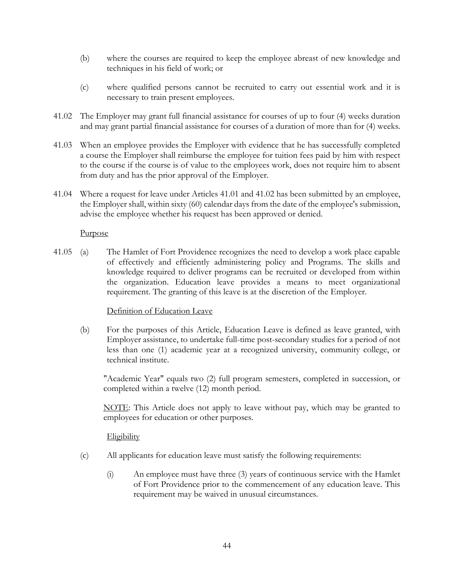- (b) where the courses are required to keep the employee abreast of new knowledge and techniques in his field of work; or
- (c) where qualified persons cannot be recruited to carry out essential work and it is necessary to train present employees.
- <span id="page-46-0"></span>41.02 The Employer may grant full financial assistance for courses of up to four (4) weeks duration and may grant partial financial assistance for courses of a duration of more than for (4) weeks.
- 41.03 When an employee provides the Employer with evidence that he has successfully completed a course the Employer shall reimburse the employee for tuition fees paid by him with respect to the course if the course is of value to the employees work, does not require him to absent from duty and has the prior approval of the Employer.
- 41.04 Where a request for leave under Articles [41.01](#page-45-2) and [41.02](#page-46-0) has been submitted by an employee, the Employer shall, within sixty (60) calendar days from the date of the employee's submission, advise the employee whether his request has been approved or denied.

#### Purpose

41.05 (a) The Hamlet of Fort Providence recognizes the need to develop a work place capable of effectively and efficiently administering policy and Programs. The skills and knowledge required to deliver programs can be recruited or developed from within the organization. Education leave provides a means to meet organizational requirement. The granting of this leave is at the discretion of the Employer.

### Definition of Education Leave

(b) For the purposes of this Article, Education Leave is defined as leave granted, with Employer assistance, to undertake full-time post-secondary studies for a period of not less than one (1) academic year at a recognized university, community college, or technical institute.

"Academic Year" equals two (2) full program semesters, completed in succession, or completed within a twelve (12) month period.

NOTE: This Article does not apply to leave without pay, which may be granted to employees for education or other purposes.

### **Eligibility**

- (c) All applicants for education leave must satisfy the following requirements:
	- (i) An employee must have three (3) years of continuous service with the Hamlet of Fort Providence prior to the commencement of any education leave. This requirement may be waived in unusual circumstances.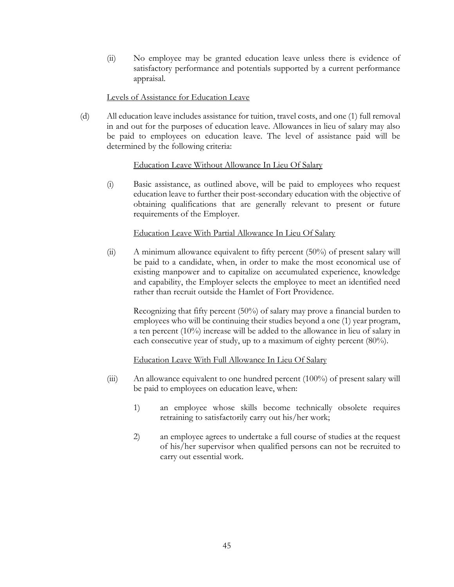(ii) No employee may be granted education leave unless there is evidence of satisfactory performance and potentials supported by a current performance appraisal.

#### Levels of Assistance for Education Leave

(d) All education leave includes assistance for tuition, travel costs, and one (1) full removal in and out for the purposes of education leave. Allowances in lieu of salary may also be paid to employees on education leave. The level of assistance paid will be determined by the following criteria:

### Education Leave Without Allowance In Lieu Of Salary

(i) Basic assistance, as outlined above, will be paid to employees who request education leave to further their post-secondary education with the objective of obtaining qualifications that are generally relevant to present or future requirements of the Employer.

#### Education Leave With Partial Allowance In Lieu Of Salary

(ii) A minimum allowance equivalent to fifty percent (50%) of present salary will be paid to a candidate, when, in order to make the most economical use of existing manpower and to capitalize on accumulated experience, knowledge and capability, the Employer selects the employee to meet an identified need rather than recruit outside the Hamlet of Fort Providence.

Recognizing that fifty percent (50%) of salary may prove a financial burden to employees who will be continuing their studies beyond a one (1) year program, a ten percent (10%) increase will be added to the allowance in lieu of salary in each consecutive year of study, up to a maximum of eighty percent (80%).

### Education Leave With Full Allowance In Lieu Of Salary

- (iii) An allowance equivalent to one hundred percent (100%) of present salary will be paid to employees on education leave, when:
	- 1) an employee whose skills become technically obsolete requires retraining to satisfactorily carry out his/her work;
	- 2) an employee agrees to undertake a full course of studies at the request of his/her supervisor when qualified persons can not be recruited to carry out essential work.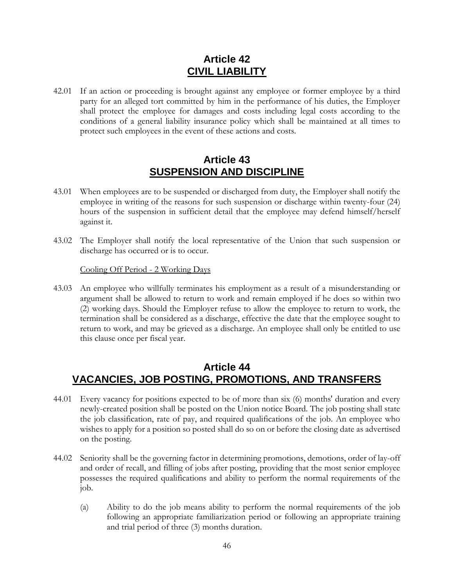## **Article 42 CIVIL LIABILITY**

<span id="page-48-0"></span>42.01 If an action or proceeding is brought against any employee or former employee by a third party for an alleged tort committed by him in the performance of his duties, the Employer shall protect the employee for damages and costs including legal costs according to the conditions of a general liability insurance policy which shall be maintained at all times to protect such employees in the event of these actions and costs.

### **Article 43 SUSPENSION AND DISCIPLINE**

- <span id="page-48-1"></span>43.01 When employees are to be suspended or discharged from duty, the Employer shall notify the employee in writing of the reasons for such suspension or discharge within twenty-four (24) hours of the suspension in sufficient detail that the employee may defend himself/herself against it.
- 43.02 The Employer shall notify the local representative of the Union that such suspension or discharge has occurred or is to occur.

Cooling Off Period - 2 Working Days

43.03 An employee who willfully terminates his employment as a result of a misunderstanding or argument shall be allowed to return to work and remain employed if he does so within two (2) working days. Should the Employer refuse to allow the employee to return to work, the termination shall be considered as a discharge, effective the date that the employee sought to return to work, and may be grieved as a discharge. An employee shall only be entitled to use this clause once per fiscal year.

### **Article 44 VACANCIES, JOB POSTING, PROMOTIONS, AND TRANSFERS**

- <span id="page-48-2"></span>44.01 Every vacancy for positions expected to be of more than six (6) months' duration and every newly-created position shall be posted on the Union notice Board. The job posting shall state the job classification, rate of pay, and required qualifications of the job. An employee who wishes to apply for a position so posted shall do so on or before the closing date as advertised on the posting.
- 44.02 Seniority shall be the governing factor in determining promotions, demotions, order of lay-off and order of recall, and filling of jobs after posting, providing that the most senior employee possesses the required qualifications and ability to perform the normal requirements of the job.
	- (a) Ability to do the job means ability to perform the normal requirements of the job following an appropriate familiarization period or following an appropriate training and trial period of three (3) months duration.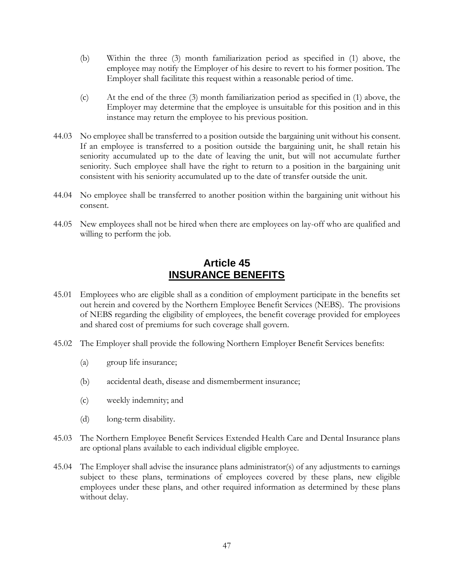- (b) Within the three (3) month familiarization period as specified in (1) above, the employee may notify the Employer of his desire to revert to his former position. The Employer shall facilitate this request within a reasonable period of time.
- (c) At the end of the three (3) month familiarization period as specified in (1) above, the Employer may determine that the employee is unsuitable for this position and in this instance may return the employee to his previous position.
- 44.03 No employee shall be transferred to a position outside the bargaining unit without his consent. If an employee is transferred to a position outside the bargaining unit, he shall retain his seniority accumulated up to the date of leaving the unit, but will not accumulate further seniority. Such employee shall have the right to return to a position in the bargaining unit consistent with his seniority accumulated up to the date of transfer outside the unit.
- 44.04 No employee shall be transferred to another position within the bargaining unit without his consent.
- 44.05 New employees shall not be hired when there are employees on lay-off who are qualified and willing to perform the job.

### **Article 45 INSURANCE BENEFITS**

- <span id="page-49-0"></span>45.01 Employees who are eligible shall as a condition of employment participate in the benefits set out herein and covered by the Northern Employee Benefit Services (NEBS). The provisions of NEBS regarding the eligibility of employees, the benefit coverage provided for employees and shared cost of premiums for such coverage shall govern.
- 45.02 The Employer shall provide the following Northern Employer Benefit Services benefits:
	- (a) group life insurance;
	- (b) accidental death, disease and dismemberment insurance;
	- (c) weekly indemnity; and
	- (d) long-term disability.
- 45.03 The Northern Employee Benefit Services Extended Health Care and Dental Insurance plans are optional plans available to each individual eligible employee.
- 45.04 The Employer shall advise the insurance plans administrator(s) of any adjustments to earnings subject to these plans, terminations of employees covered by these plans, new eligible employees under these plans, and other required information as determined by these plans without delay.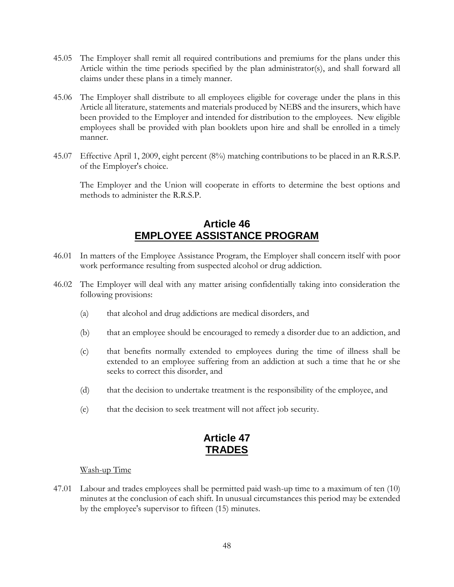- 45.05 The Employer shall remit all required contributions and premiums for the plans under this Article within the time periods specified by the plan administrator(s), and shall forward all claims under these plans in a timely manner.
- 45.06 The Employer shall distribute to all employees eligible for coverage under the plans in this Article all literature, statements and materials produced by NEBS and the insurers, which have been provided to the Employer and intended for distribution to the employees. New eligible employees shall be provided with plan booklets upon hire and shall be enrolled in a timely manner.
- 45.07 Effective April 1, 2009, eight percent (8%) matching contributions to be placed in an R.R.S.P. of the Employer's choice.

The Employer and the Union will cooperate in efforts to determine the best options and methods to administer the R.R.S.P.

## **Article 46 EMPLOYEE ASSISTANCE PROGRAM**

- <span id="page-50-0"></span>46.01 In matters of the Employee Assistance Program, the Employer shall concern itself with poor work performance resulting from suspected alcohol or drug addiction.
- 46.02 The Employer will deal with any matter arising confidentially taking into consideration the following provisions:
	- (a) that alcohol and drug addictions are medical disorders, and
	- (b) that an employee should be encouraged to remedy a disorder due to an addiction, and
	- (c) that benefits normally extended to employees during the time of illness shall be extended to an employee suffering from an addiction at such a time that he or she seeks to correct this disorder, and
	- (d) that the decision to undertake treatment is the responsibility of the employee, and
	- (e) that the decision to seek treatment will not affect job security.

### **Article 47 TRADES**

#### <span id="page-50-1"></span>Wash-up Time

47.01 Labour and trades employees shall be permitted paid wash-up time to a maximum of ten (10) minutes at the conclusion of each shift. In unusual circumstances this period may be extended by the employee's supervisor to fifteen (15) minutes.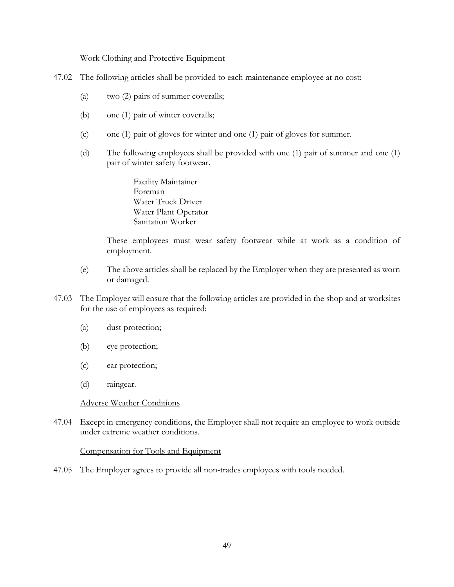#### Work Clothing and Protective Equipment

- 47.02 The following articles shall be provided to each maintenance employee at no cost:
	- (a) two (2) pairs of summer coveralls;
	- (b) one (1) pair of winter coveralls;
	- (c) one (1) pair of gloves for winter and one (1) pair of gloves for summer.
	- (d) The following employees shall be provided with one (1) pair of summer and one (1) pair of winter safety footwear.

Facility Maintainer Foreman Water Truck Driver Water Plant Operator Sanitation Worker

These employees must wear safety footwear while at work as a condition of employment.

- (e) The above articles shall be replaced by the Employer when they are presented as worn or damaged.
- 47.03 The Employer will ensure that the following articles are provided in the shop and at worksites for the use of employees as required:
	- (a) dust protection;
	- (b) eye protection;
	- (c) ear protection;
	- (d) raingear.

#### Adverse Weather Conditions

47.04 Except in emergency conditions, the Employer shall not require an employee to work outside under extreme weather conditions.

#### Compensation for Tools and Equipment

47.05 The Employer agrees to provide all non-trades employees with tools needed.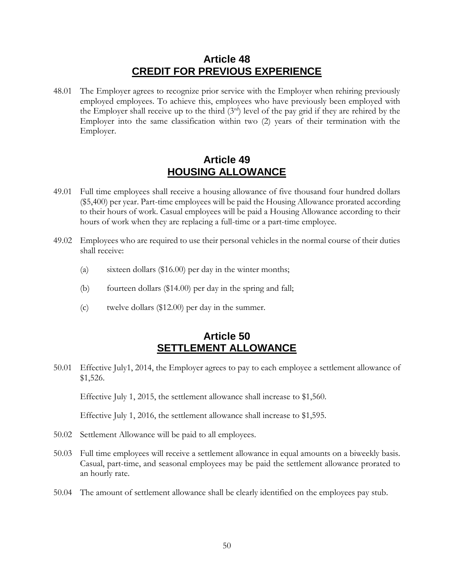### **Article 48 CREDIT FOR PREVIOUS EXPERIENCE**

<span id="page-52-0"></span>48.01 The Employer agrees to recognize prior service with the Employer when rehiring previously employed employees. To achieve this, employees who have previously been employed with the Employer shall receive up to the third  $(3<sup>rd</sup>)$  level of the pay grid if they are rehired by the Employer into the same classification within two (2) years of their termination with the Employer.

## **Article 49 HOUSING ALLOWANCE**

- <span id="page-52-1"></span>49.01 Full time employees shall receive a housing allowance of five thousand four hundred dollars (\$5,400) per year. Part-time employees will be paid the Housing Allowance prorated according to their hours of work. Casual employees will be paid a Housing Allowance according to their hours of work when they are replacing a full-time or a part-time employee.
- 49.02 Employees who are required to use their personal vehicles in the normal course of their duties shall receive:
	- (a) sixteen dollars (\$16.00) per day in the winter months;
	- (b) fourteen dollars (\$14.00) per day in the spring and fall;
	- (c) twelve dollars (\$12.00) per day in the summer.

### **Article 50 SETTLEMENT ALLOWANCE**

<span id="page-52-2"></span>50.01 Effective July1, 2014, the Employer agrees to pay to each employee a settlement allowance of \$1,526.

Effective July 1, 2015, the settlement allowance shall increase to \$1,560.

Effective July 1, 2016, the settlement allowance shall increase to \$1,595.

- 50.02 Settlement Allowance will be paid to all employees.
- 50.03 Full time employees will receive a settlement allowance in equal amounts on a biweekly basis. Casual, part-time, and seasonal employees may be paid the settlement allowance prorated to an hourly rate.
- 50.04 The amount of settlement allowance shall be clearly identified on the employees pay stub.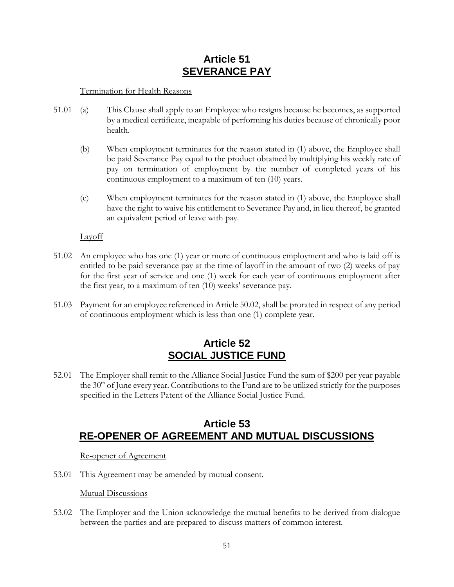## **Article 51 SEVERANCE PAY**

### <span id="page-53-0"></span>Termination for Health Reasons

- 51.01 (a) This Clause shall apply to an Employee who resigns because he becomes, as supported by a medical certificate, incapable of performing his duties because of chronically poor health.
	- (b) When employment terminates for the reason stated in (1) above, the Employee shall be paid Severance Pay equal to the product obtained by multiplying his weekly rate of pay on termination of employment by the number of completed years of his continuous employment to a maximum of ten (10) years.
	- (c) When employment terminates for the reason stated in (1) above, the Employee shall have the right to waive his entitlement to Severance Pay and, in lieu thereof, be granted an equivalent period of leave with pay.

### Layoff

- 51.02 An employee who has one (1) year or more of continuous employment and who is laid off is entitled to be paid severance pay at the time of layoff in the amount of two (2) weeks of pay for the first year of service and one (1) week for each year of continuous employment after the first year, to a maximum of ten (10) weeks' severance pay.
- 51.03 Payment for an employee referenced in Article 50.02, shall be prorated in respect of any period of continuous employment which is less than one (1) complete year.

### **Article 52 SOCIAL JUSTICE FUND**

<span id="page-53-1"></span>52.01 The Employer shall remit to the Alliance Social Justice Fund the sum of \$200 per year payable the  $30<sup>th</sup>$  of June every year. Contributions to the Fund are to be utilized strictly for the purposes specified in the Letters Patent of the Alliance Social Justice Fund.

### <span id="page-53-2"></span>**Article 53 RE-OPENER OF AGREEMENT AND MUTUAL DISCUSSIONS**

### Re-opener of Agreement

53.01 This Agreement may be amended by mutual consent.

Mutual Discussions

53.02 The Employer and the Union acknowledge the mutual benefits to be derived from dialogue between the parties and are prepared to discuss matters of common interest.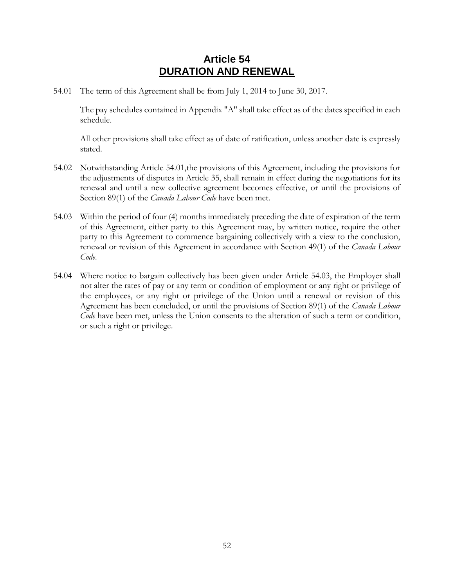## **Article 54 DURATION AND RENEWAL**

<span id="page-54-1"></span><span id="page-54-0"></span>54.01 The term of this Agreement shall be from July 1, 2014 to June 30, 2017.

The pay schedules contained in Appendix "A" shall take effect as of the dates specified in each schedule.

All other provisions shall take effect as of date of ratification, unless another date is expressly stated.

- 54.02 Notwithstanding Article [54.01,](#page-54-1)the provisions of this Agreement, including the provisions for the adjustments of disputes in [Article 35,](#page-34-1) shall remain in effect during the negotiations for its renewal and until a new collective agreement becomes effective, or until the provisions of Section 89(1) of the *Canada Labour Code* have been met.
- <span id="page-54-2"></span>54.03 Within the period of four (4) months immediately preceding the date of expiration of the term of this Agreement, either party to this Agreement may, by written notice, require the other party to this Agreement to commence bargaining collectively with a view to the conclusion, renewal or revision of this Agreement in accordance with Section 49(1) of the *Canada Labour Code*.
- 54.04 Where notice to bargain collectively has been given under Article [54.03,](#page-54-2) the Employer shall not alter the rates of pay or any term or condition of employment or any right or privilege of the employees, or any right or privilege of the Union until a renewal or revision of this Agreement has been concluded, or until the provisions of Section 89(1) of the *Canada Labour Code* have been met, unless the Union consents to the alteration of such a term or condition, or such a right or privilege.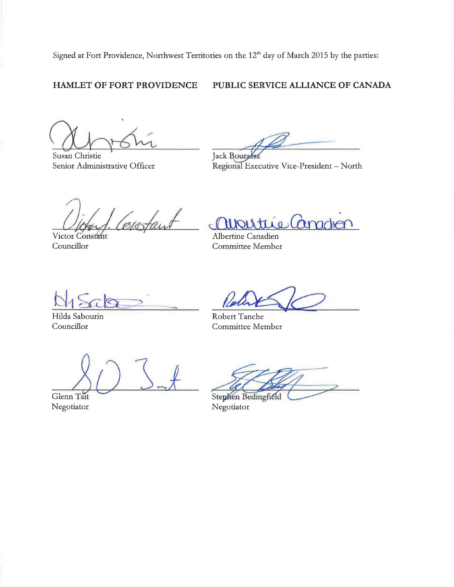Signed at Fort Providence, Northwest Territories on the 12<sup>th</sup> day of March 2015 by the parties:

#### **HAMLET OF FORT PROVIDENCE**

### **PUBLIC SERVICE ALLIANCE OF CANADA**

Susan Christie Senior Administrative Officer

 $\frac{1}{2}$ Jack Bourgessa

Jack Bourgessa<br>Regional Executive Vice-President – North

eistaut

Victor Constant Councillor

<u>aupoutrie</u> Canadien

Committee Member

Hilda Sabourin Councillor

Robert Tanche Committee Member

Glenn Tait Negotiator

Stephen Bedingfield Negotiator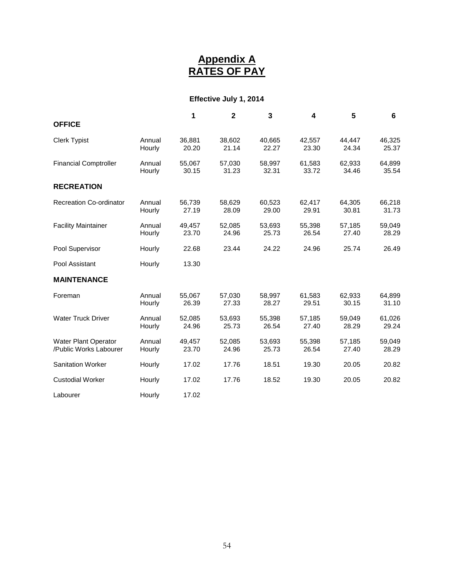### **Appendix A RATES OF PAY**

### **Effective July 1, 2014**

<span id="page-56-0"></span>

|                                                       |                  | 1               | $\mathbf{2}$    | 3               | 4               | 5               | 6               |
|-------------------------------------------------------|------------------|-----------------|-----------------|-----------------|-----------------|-----------------|-----------------|
| <b>OFFICE</b>                                         |                  |                 |                 |                 |                 |                 |                 |
| <b>Clerk Typist</b>                                   | Annual<br>Hourly | 36,881<br>20.20 | 38,602<br>21.14 | 40,665<br>22.27 | 42,557<br>23.30 | 44,447<br>24.34 | 46,325<br>25.37 |
| <b>Financial Comptroller</b>                          | Annual<br>Hourly | 55,067<br>30.15 | 57,030<br>31.23 | 58,997<br>32.31 | 61,583<br>33.72 | 62,933<br>34.46 | 64,899<br>35.54 |
| <b>RECREATION</b>                                     |                  |                 |                 |                 |                 |                 |                 |
| <b>Recreation Co-ordinator</b>                        | Annual<br>Hourly | 56,739<br>27.19 | 58,629<br>28.09 | 60,523<br>29.00 | 62,417<br>29.91 | 64,305<br>30.81 | 66,218<br>31.73 |
| <b>Facility Maintainer</b>                            | Annual<br>Hourly | 49,457<br>23.70 | 52,085<br>24.96 | 53,693<br>25.73 | 55,398<br>26.54 | 57,185<br>27.40 | 59,049<br>28.29 |
| Pool Supervisor                                       | Hourly           | 22.68           | 23.44           | 24.22           | 24.96           | 25.74           | 26.49           |
| Pool Assistant                                        | Hourly           | 13.30           |                 |                 |                 |                 |                 |
| <b>MAINTENANCE</b>                                    |                  |                 |                 |                 |                 |                 |                 |
| Foreman                                               | Annual<br>Hourly | 55,067<br>26.39 | 57,030<br>27.33 | 58,997<br>28.27 | 61,583<br>29.51 | 62,933<br>30.15 | 64,899<br>31.10 |
| <b>Water Truck Driver</b>                             | Annual<br>Hourly | 52,085<br>24.96 | 53,693<br>25.73 | 55,398<br>26.54 | 57,185<br>27.40 | 59,049<br>28.29 | 61,026<br>29.24 |
| <b>Water Plant Operator</b><br>/Public Works Labourer | Annual<br>Hourly | 49,457<br>23.70 | 52,085<br>24.96 | 53,693<br>25.73 | 55,398<br>26.54 | 57,185<br>27.40 | 59,049<br>28.29 |
| <b>Sanitation Worker</b>                              | Hourly           | 17.02           | 17.76           | 18.51           | 19.30           | 20.05           | 20.82           |
| <b>Custodial Worker</b>                               | Hourly           | 17.02           | 17.76           | 18.52           | 19.30           | 20.05           | 20.82           |
| Labourer                                              | Hourly           | 17.02           |                 |                 |                 |                 |                 |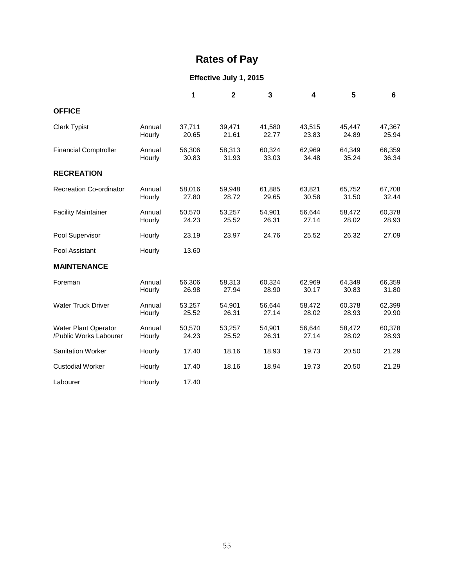# **Rates of Pay**

### **Effective July 1, 2015**

|                                                       |                  | 1               | $\overline{\mathbf{2}}$ | 3               | 4               | 5               | 6               |
|-------------------------------------------------------|------------------|-----------------|-------------------------|-----------------|-----------------|-----------------|-----------------|
| <b>OFFICE</b>                                         |                  |                 |                         |                 |                 |                 |                 |
| <b>Clerk Typist</b>                                   | Annual<br>Hourly | 37,711<br>20.65 | 39,471<br>21.61         | 41,580<br>22.77 | 43,515<br>23.83 | 45,447<br>24.89 | 47,367<br>25.94 |
| <b>Financial Comptroller</b>                          | Annual<br>Hourly | 56,306<br>30.83 | 58,313<br>31.93         | 60,324<br>33.03 | 62,969<br>34.48 | 64,349<br>35.24 | 66,359<br>36.34 |
| <b>RECREATION</b>                                     |                  |                 |                         |                 |                 |                 |                 |
| Recreation Co-ordinator                               | Annual<br>Hourly | 58,016<br>27.80 | 59,948<br>28.72         | 61,885<br>29.65 | 63,821<br>30.58 | 65,752<br>31.50 | 67,708<br>32.44 |
| <b>Facility Maintainer</b>                            | Annual<br>Hourly | 50,570<br>24.23 | 53,257<br>25.52         | 54,901<br>26.31 | 56,644<br>27.14 | 58,472<br>28.02 | 60,378<br>28.93 |
| Pool Supervisor                                       | Hourly           | 23.19           | 23.97                   | 24.76           | 25.52           | 26.32           | 27.09           |
| Pool Assistant                                        | Hourly           | 13.60           |                         |                 |                 |                 |                 |
| <b>MAINTENANCE</b>                                    |                  |                 |                         |                 |                 |                 |                 |
| Foreman                                               | Annual<br>Hourly | 56,306<br>26.98 | 58,313<br>27.94         | 60,324<br>28.90 | 62,969<br>30.17 | 64,349<br>30.83 | 66,359<br>31.80 |
| <b>Water Truck Driver</b>                             | Annual<br>Hourly | 53,257<br>25.52 | 54,901<br>26.31         | 56,644<br>27.14 | 58,472<br>28.02 | 60,378<br>28.93 | 62,399<br>29.90 |
| <b>Water Plant Operator</b><br>/Public Works Labourer | Annual<br>Hourly | 50,570<br>24.23 | 53,257<br>25.52         | 54,901<br>26.31 | 56,644<br>27.14 | 58,472<br>28.02 | 60,378<br>28.93 |
| <b>Sanitation Worker</b>                              | Hourly           | 17.40           | 18.16                   | 18.93           | 19.73           | 20.50           | 21.29           |
| <b>Custodial Worker</b>                               | Hourly           | 17.40           | 18.16                   | 18.94           | 19.73           | 20.50           | 21.29           |
| Labourer                                              | Hourly           | 17.40           |                         |                 |                 |                 |                 |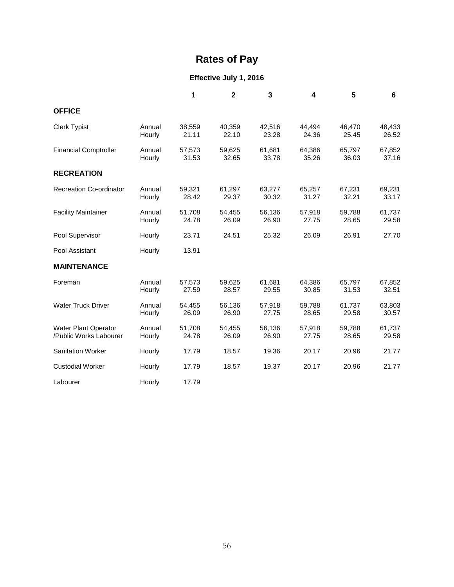# **Rates of Pay**

### **Effective July 1, 2016**

|                                                |                  | 1               | $\mathbf{2}$    | 3               | 4               | 5               | 6               |
|------------------------------------------------|------------------|-----------------|-----------------|-----------------|-----------------|-----------------|-----------------|
| <b>OFFICE</b>                                  |                  |                 |                 |                 |                 |                 |                 |
| <b>Clerk Typist</b>                            | Annual<br>Hourly | 38,559<br>21.11 | 40,359<br>22.10 | 42,516<br>23.28 | 44,494<br>24.36 | 46,470<br>25.45 | 48,433<br>26.52 |
| <b>Financial Comptroller</b>                   | Annual<br>Hourly | 57,573<br>31.53 | 59,625<br>32.65 | 61,681<br>33.78 | 64,386<br>35.26 | 65,797<br>36.03 | 67,852<br>37.16 |
| <b>RECREATION</b>                              |                  |                 |                 |                 |                 |                 |                 |
| <b>Recreation Co-ordinator</b>                 | Annual<br>Hourly | 59,321<br>28.42 | 61,297<br>29.37 | 63,277<br>30.32 | 65,257<br>31.27 | 67,231<br>32.21 | 69,231<br>33.17 |
| <b>Facility Maintainer</b>                     | Annual<br>Hourly | 51,708<br>24.78 | 54,455<br>26.09 | 56,136<br>26.90 | 57,918<br>27.75 | 59,788<br>28.65 | 61,737<br>29.58 |
| Pool Supervisor                                | Hourly           | 23.71           | 24.51           | 25.32           | 26.09           | 26.91           | 27.70           |
| Pool Assistant                                 | Hourly           | 13.91           |                 |                 |                 |                 |                 |
| <b>MAINTENANCE</b>                             |                  |                 |                 |                 |                 |                 |                 |
| Foreman                                        | Annual<br>Hourly | 57,573<br>27.59 | 59,625<br>28.57 | 61,681<br>29.55 | 64,386<br>30.85 | 65,797<br>31.53 | 67,852<br>32.51 |
| <b>Water Truck Driver</b>                      | Annual<br>Hourly | 54,455<br>26.09 | 56,136<br>26.90 | 57,918<br>27.75 | 59,788<br>28.65 | 61,737<br>29.58 | 63,803<br>30.57 |
| Water Plant Operator<br>/Public Works Labourer | Annual<br>Hourly | 51,708<br>24.78 | 54,455<br>26.09 | 56,136<br>26.90 | 57,918<br>27.75 | 59,788<br>28.65 | 61,737<br>29.58 |
| <b>Sanitation Worker</b>                       | Hourly           | 17.79           | 18.57           | 19.36           | 20.17           | 20.96           | 21.77           |
| <b>Custodial Worker</b>                        | Hourly           | 17.79           | 18.57           | 19.37           | 20.17           | 20.96           | 21.77           |
| Labourer                                       | Hourly           | 17.79           |                 |                 |                 |                 |                 |